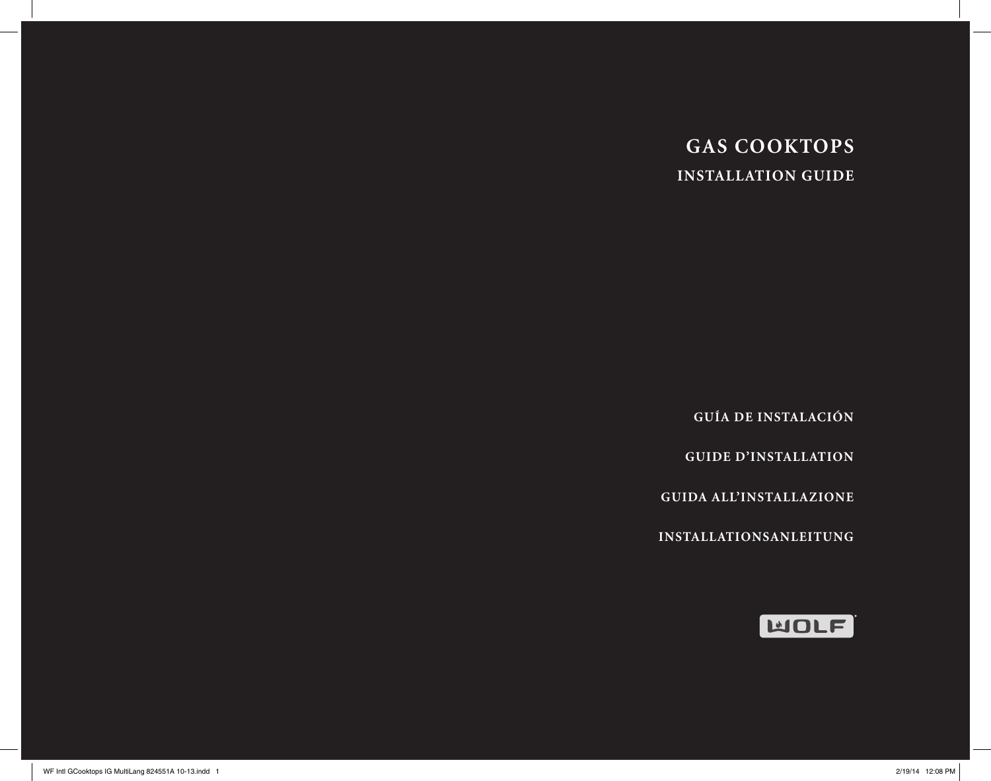# **GAS COOKTOPS INSTALLATION GUIDE**

**GUÍA DE INSTALACIÓN**

**GUIDE D'INSTALLATION**

**GUIDA ALL'INSTALLAZIONE**

**INSTALLATIONSANLEITUNG**

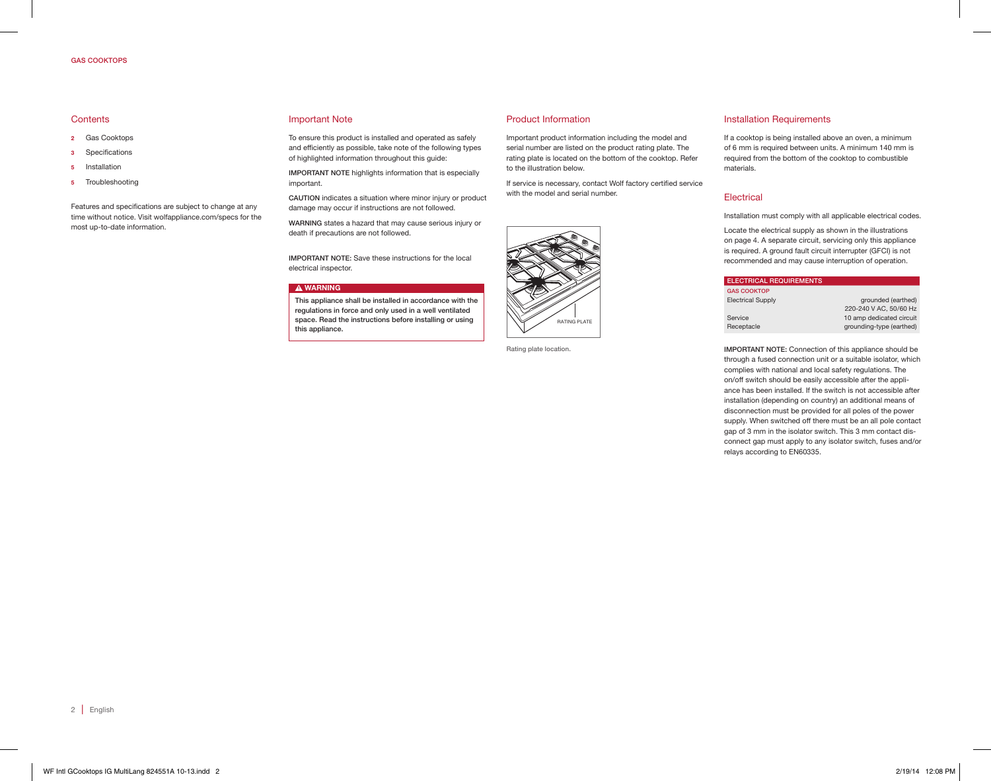## GAS COOKTOPS

## **Contents**

- 2 Gas Cooktops
- 3 Specifications
- 5 Installation
- 5 Troubleshooting

Features and specifications are subject to change at any time without notice. Visit wolfappliance.com/specs for the most up-to-date information.

#### Important Note

To ensure this product is installed and operated as safely and efficiently as possible, take note of the following types of highlighted information throughout this guide:

IMPORTANT NOTE highlights information that is especially important.

CAUTION indicates a situation where minor injury or product damage may occur if instructions are not followed.

WARNING states a hazard that may cause serious injury or death if precautions are not followed.

IMPORTANT NOTE: Save these instructions for the local electrical inspector.

#### **A WARNING**

This appliance shall be installed in accordance with the regulations in force and only used in a well ventilated space. Read the instructions before installing or using this appliance.

Product Information

Important product information including the model and serial number are listed on the product rating plate. The rating plate is located on the bottom of the cooktop. Refer to the illustration below.

If service is necessary, contact Wolf factory certified service with the model and serial number.



Rating plate location.

## Installation Requirements

If a cooktop is being installed above an oven, a minimum of 6 mm is required between units. A minimum 140 mm is required from the bottom of the cooktop to combustible materials.

#### Electrical

Installation must comply with all applicable electrical codes.

Locate the electrical supply as shown in the illustrations on page 4. A separate circuit, servicing only this appliance is required. A ground fault circuit interrupter (GFCI) is not recommended and may cause interruption of operation.

| <b>ELECTRICAL REQUIREMENTS</b> |                          |
|--------------------------------|--------------------------|
| <b>GAS COOKTOP</b>             |                          |
| <b>Electrical Supply</b>       | grounded (earthed)       |
|                                | 220-240 V AC, 50/60 Hz   |
| Service                        | 10 amp dedicated circuit |
| Receptacle                     | grounding-type (earthed) |
|                                |                          |

IMPORTANT NOTE: Connection of this appliance should be through a fused connection unit or a suitable isolator, which complies with national and local safety regulations. The on/off switch should be easily accessible after the appliance has been installed. If the switch is not accessible after installation (depending on country) an additional means of disconnection must be provided for all poles of the power supply. When switched off there must be an all pole contact gap of 3 mm in the isolator switch. This 3 mm contact disconnect gap must apply to any isolator switch, fuses and/or relays according to EN60335.

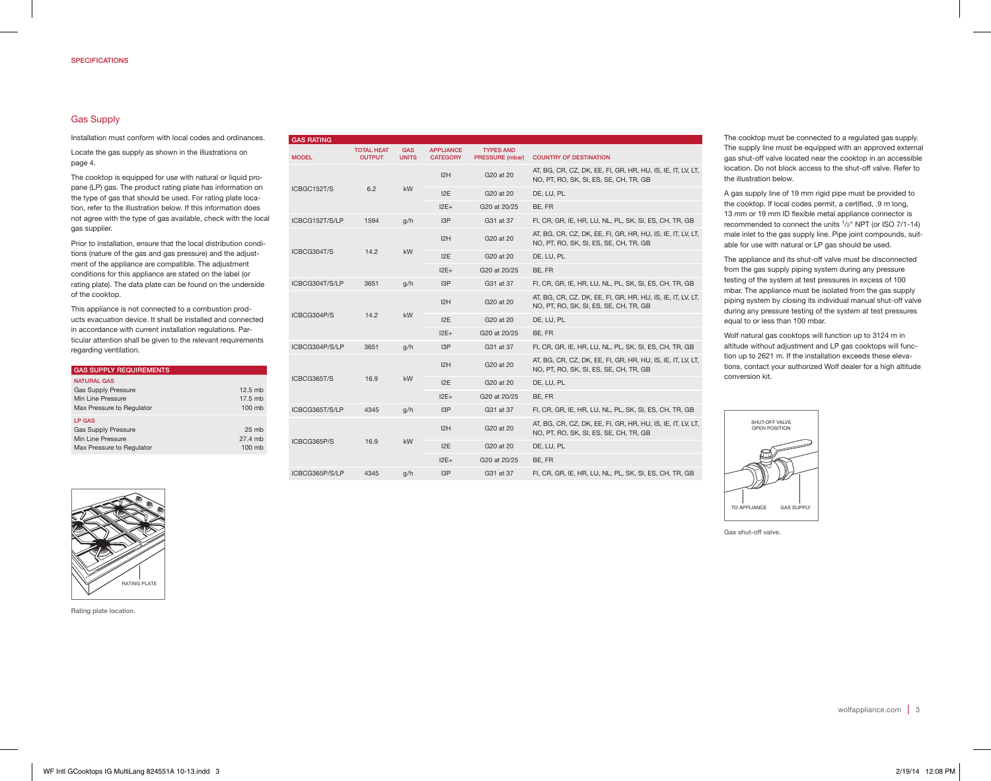# Gas Supply

Installation must conform with local codes and ordinances.

Locate the gas supply as shown in the illustrations on page 4.

The cooktop is equipped for use with natural or liquid propane (LP) gas. The product rating plate has information on the type of gas that should be used. For rating plate location, refer to the illustration below. If this information does not agree with the type of gas available, check with the local gas supplier.

Prior to installation, ensure that the local distribution conditions (nature of the gas and gas pressure) and the adjustment of the appliance are compatible. The adjustment conditions for this appliance are stated on the label (or rating plate). The data plate can be found on the underside of the cooktop.

This appliance is not connected to a combustion products evacuation device. It shall be installed and connected in accordance with current installation regulations. Particular attention shall be given to the relevant requirements regarding ventilation.

| <b>GAS SUPPLY REQUIREMENTS</b>                                                                     |                                       |
|----------------------------------------------------------------------------------------------------|---------------------------------------|
| <b>NATURAL GAS</b><br><b>Gas Supply Pressure</b><br>Min Line Pressure<br>Max Pressure to Regulator | $12.5$ mb<br>17.5 mb<br>100 mb        |
| <b>LP GAS</b><br><b>Gas Supply Pressure</b><br>Min Line Pressure<br>Max Pressure to Regulator      | 25 <sub>mb</sub><br>27.4 mb<br>100 mh |

| <b>GAS RATING</b> |                                    |                            |                                     |                                                                                                       |                                                                                                       |
|-------------------|------------------------------------|----------------------------|-------------------------------------|-------------------------------------------------------------------------------------------------------|-------------------------------------------------------------------------------------------------------|
| <b>MODEL</b>      | <b>TOTAL HEAT</b><br><b>OUTPUT</b> | <b>GAS</b><br><b>UNITS</b> | <b>APPLIANCE</b><br><b>CATEGORY</b> | <b>TYPES AND</b><br><b>PRESSURE (mbar)</b>                                                            | <b>COUNTRY OF DESTINATION</b>                                                                         |
|                   |                                    | 6.2<br>kW                  | 12H                                 | G20 at 20                                                                                             | AT, BG, CR, CZ, DK, EE, FI, GR, HR, HU, IS, IE, IT, LV, LT,<br>NO, PT, RO, SK, SI, ES, SE, CH, TR, GB |
| ICBGC152T/S       |                                    |                            | 12E                                 | G20 at 20                                                                                             | DE, LU, PL                                                                                            |
|                   |                                    |                            | $12E+$                              | G20 at 20/25                                                                                          | BE. FR                                                                                                |
| ICBCG152T/S/LP    | 1594                               | q/h                        | 13P                                 | G31 at 37                                                                                             | FI, CR, GR, IE, HR, LU, NL, PL, SK, SI, ES, CH, TR, GB                                                |
|                   |                                    |                            | 12H                                 | G20 at 20                                                                                             | AT, BG, CR, CZ, DK, EE, FI, GR, HR, HU, IS, IE, IT, LV, LT,<br>NO, PT, RO, SK, SI, ES, SE, CH, TR, GB |
| ICBCG304T/S       | 14.2                               | kW                         | 12E                                 | G20 at 20                                                                                             | DE, LU, PL                                                                                            |
|                   |                                    |                            | $12E+$                              | G20 at 20/25                                                                                          | BE, FR                                                                                                |
| ICBCG304T/S/LP    | 3651                               | g/h                        | 13P                                 | G31 at 37                                                                                             | FI, CR, GR, IE, HR, LU, NL, PL, SK, SI, ES, CH, TR, GB                                                |
|                   |                                    | 14.2<br><b>kW</b>          | 12H                                 | G20 at 20                                                                                             | AT, BG, CR, CZ, DK, EE, FI, GR, HR, HU, IS, IE, IT, LV, LT,<br>NO, PT, RO, SK, SI, ES, SE, CH, TR, GB |
| ICBCG304P/S       |                                    |                            | 12E                                 | G20 at 20                                                                                             | DE, LU, PL                                                                                            |
|                   |                                    |                            | $12E+$                              | G20 at 20/25                                                                                          | BE, FR                                                                                                |
| ICBCG304P/S/LP    | 3651                               | q/h                        | 13P                                 | G31 at 37                                                                                             | FI, CR, GR, IE, HR, LU, NL, PL, SK, SI, ES, CH, TR, GB                                                |
|                   |                                    |                            | 12H                                 | G20 at 20                                                                                             | AT, BG, CR, CZ, DK, EE, FI, GR, HR, HU, IS, IE, IT, LV, LT,<br>NO, PT, RO, SK, SI, ES, SE, CH, TR, GB |
| ICBCG365T/S       | 16.9                               | <b>kW</b>                  | 12E                                 | G20 at 20                                                                                             | DE, LU, PL                                                                                            |
|                   |                                    |                            | $12E+$                              | G20 at 20/25                                                                                          | BE. FR                                                                                                |
| ICBCG365T/S/LP    | 4345                               | q/h                        | 13P                                 | G31 at 37                                                                                             | FI, CR, GR, IE, HR, LU, NL, PL, SK, SI, ES, CH, TR, GB                                                |
|                   |                                    | 12H                        | G20 at 20                           | AT, BG, CR, CZ, DK, EE, FI, GR, HR, HU, IS, IE, IT, LV, LT,<br>NO, PT, RO, SK, SI, ES, SE, CH, TR, GB |                                                                                                       |
| ICBCG365P/S       | 16.9                               | <b>kW</b>                  | 12E                                 | G20 at 20                                                                                             | DE, LU, PL                                                                                            |
|                   |                                    |                            | $12E+$                              | G20 at 20/25                                                                                          | BE, FR                                                                                                |
| ICBCG365P/S/LP    | 4345                               | q/h                        | 13P                                 | G31 at 37                                                                                             | FI, CR, GR, IE, HR, LU, NL, PL, SK, SI, ES, CH, TR, GB                                                |

The cooktop must be connected to a regulated gas supply. The supply line must be equipped with an approved external gas shut-off valve located near the cooktop in an accessible location. Do not block access to the shut-off valve. Refer to the illustration below.

A gas supply line of 19 mm rigid pipe must be provided to the cooktop. If local codes permit, a certified, .9 m long, 13 mm or 19 mm ID flexible metal appliance connector is recommended to connect the units 1/2" NPT (or ISO 7/1-14) male inlet to the gas supply line. Pipe joint compounds, suitable for use with natural or LP gas should be used.

The appliance and its shut-off valve must be disconnected from the gas supply piping system during any pressure testing of the system at test pressures in excess of 100 mbar. The appliance must be isolated from the gas supply piping system by closing its individual manual shut-off valve during any pressure testing of the system at test pressures equal to or less than 100 mbar.

Wolf natural gas cooktops will function up to 3124 m in altitude without adjustment and LP gas cooktops will function up to 2621 m. If the installation exceeds these elevations, contact your authorized Wolf dealer for a high altitude conversion kit.



Gas shut-off valve.



Rating plate location.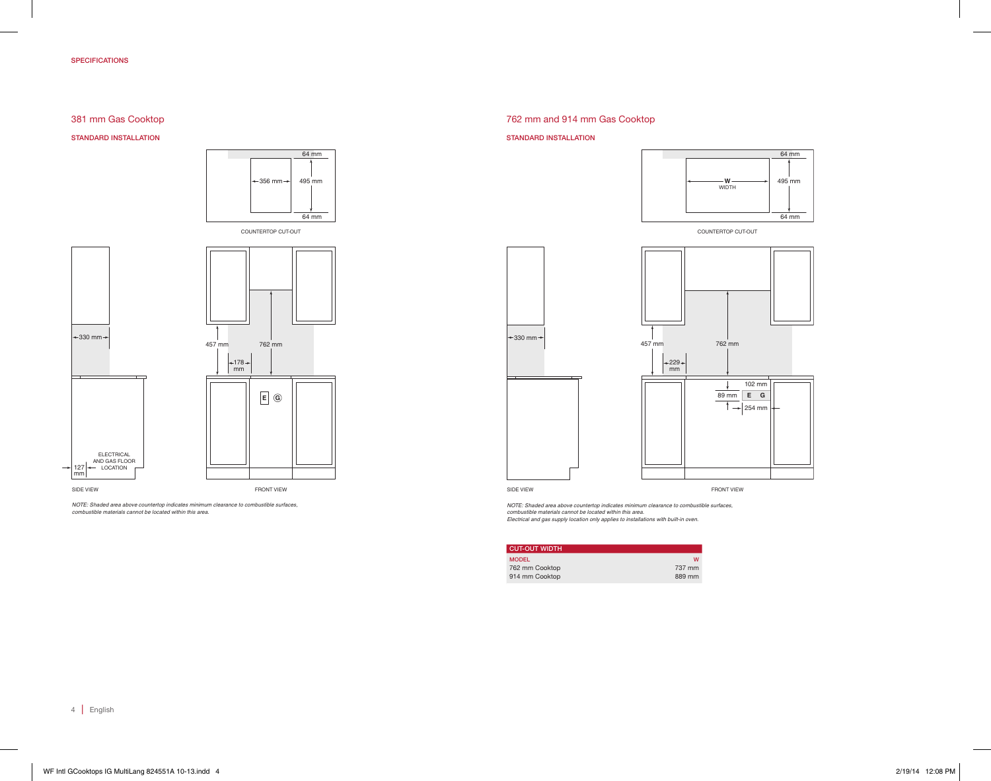## SPECIFICATIONS

## 381 mm Gas Cooktop

## STANDARD INSTALLATION





*NOTE: Shaded area above countertop indicates minimum clearance to combustible surfaces, combustible materials cannot be located within this area.*

## 762 mm and 914 mm Gas Cooktop

#### STANDARD INSTALLATION



COUNTERTOP CUT-OUT



*NOTE: Shaded area above countertop indicates minimum clearance to combustible surfaces, combustible materials cannot be located within this area. Electrical and gas supply location only applies to installations with built-in oven.*

| <b>CUT-OUT WIDTH</b> |        |
|----------------------|--------|
| <b>MODEL</b>         | w      |
| 762 mm Cooktop       | 737 mm |
| 914 mm Cooktop       | 889 mm |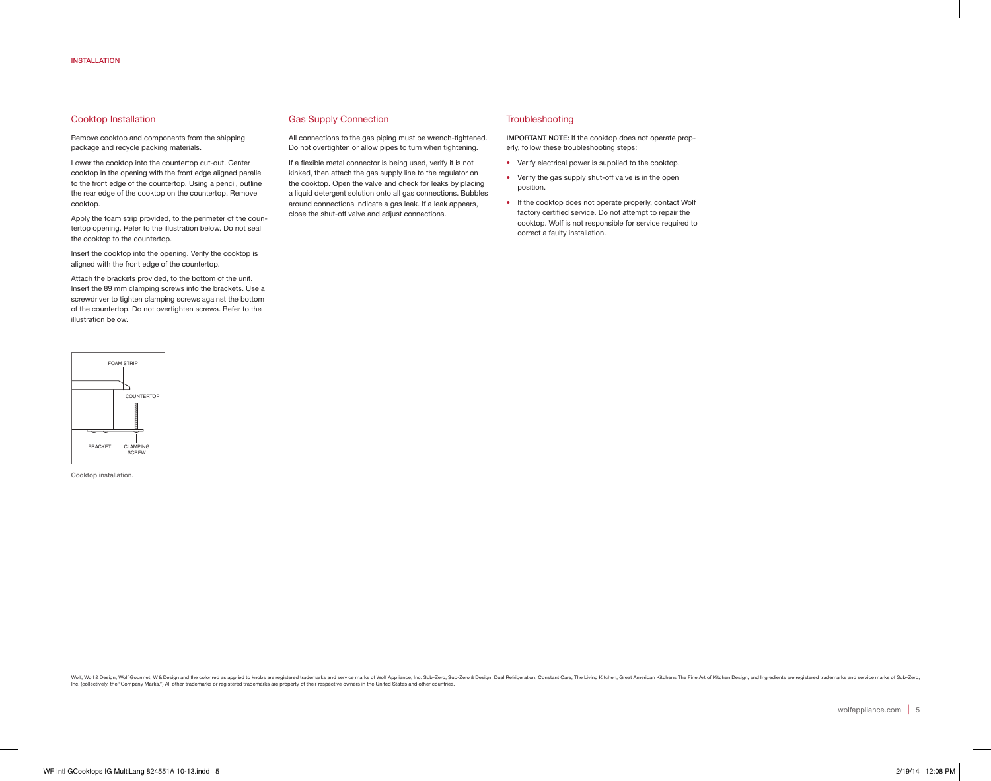## Cooktop Installation

Remove cooktop and components from the shipping package and recycle packing materials.

Lower the cooktop into the countertop cut-out. Center cooktop in the opening with the front edge aligned parallel to the front edge of the countertop. Using a pencil, outline the rear edge of the cooktop on the countertop. Remove cooktop.

Apply the foam strip provided, to the perimeter of the countertop opening. Refer to the illustration below. Do not seal the cooktop to the countertop.

Insert the cooktop into the opening. Verify the cooktop is aligned with the front edge of the countertop.

Attach the brackets provided, to the bottom of the unit. Insert the 89 mm clamping screws into the brackets. Use a screwdriver to tighten clamping screws against the bottom of the countertop. Do not overtighten screws. Refer to the illustration below.



Cooktop installation.

## Gas Supply Connection

All connections to the gas piping must be wrench-tightened. Do not overtighten or allow pipes to turn when tightening.

If a flexible metal connector is being used, verify it is not kinked, then attach the gas supply line to the regulator on the cooktop. Open the valve and check for leaks by placing a liquid detergent solution onto all gas connections. Bubbles around connections indicate a gas leak. If a leak appears, close the shut-off valve and adjust connections.

#### **Troubleshooting**

IMPORTANT NOTE: If the cooktop does not operate properly, follow these troubleshooting steps:

- Verify electrical power is supplied to the cooktop.
- Verify the gas supply shut-off valve is in the open position.
- If the cooktop does not operate properly, contact Wolf factory certified service. Do not attempt to repair the cooktop. Wolf is not responsible for service required to correct a faulty installation.

Wolf & Design, Wolf Gourmet, W & Design and the color red as applied to knobs are registered trademarks and service marks of Wolf Appliance, Inc. Sub-Zero, Sub-Zero, Sub-Zero, Dual Refrigeration, Constant Care, The Living Inc. (collectively, the "Company Marks.") All other trademarks or registered trademarks are property of their respective owners in the United States and other countries.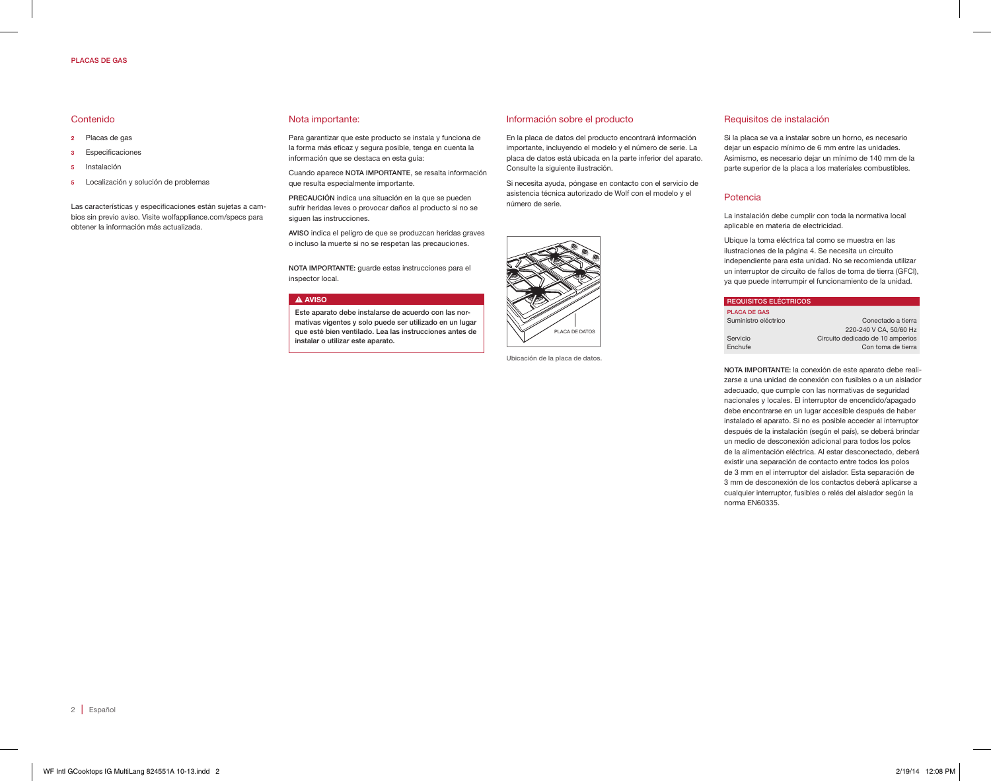#### PLACAS DE GAS

## Contenido

- 2 Placas de gas
- 3 Especificaciones
- 5 Instalación
- 5 Localización y solución de problemas

Las características y especificaciones están sujetas a cambios sin previo aviso. Visite wolfappliance.com/specs para obtener la información más actualizada.

#### Nota importante:

Para garantizar que este producto se instala y funciona de la forma más eficaz y segura posible, tenga en cuenta la información que se destaca en esta guía:

Cuando aparece NOTA IMPORTANTE, se resalta información que resulta especialmente importante.

PRECAUCIÓN indica una situación en la que se pueden sufrir heridas leves o provocar daños al producto si no se siguen las instrucciones.

AVISO indica el peligro de que se produzcan heridas graves o incluso la muerte si no se respetan las precauciones.

NOTA IMPORTANTE: guarde estas instrucciones para el inspector local.

#### **A** AVISO

Este aparato debe instalarse de acuerdo con las normativas vigentes y solo puede ser utilizado en un lugar que esté bien ventilado. Lea las instrucciones antes de instalar o utilizar este aparato.

Ubicación de la placa de datos.

#### Información sobre el producto

En la placa de datos del producto encontrará información importante, incluyendo el modelo y el número de serie. La placa de datos está ubicada en la parte inferior del aparato. Consulte la siguiente ilustración.

Si necesita ayuda, póngase en contacto con el servicio de asistencia técnica autorizado de Wolf con el modelo y el número de serie.



## Requisitos de instalación

Si la placa se va a instalar sobre un horno, es necesario dejar un espacio mínimo de 6 mm entre las unidades. Asimismo, es necesario dejar un mínimo de 140 mm de la parte superior de la placa a los materiales combustibles.

#### Potencia

La instalación debe cumplir con toda la normativa local aplicable en materia de electricidad.

Ubique la toma eléctrica tal como se muestra en las ilustraciones de la página 4. Se necesita un circuito independiente para esta unidad. No se recomienda utilizar un interruptor de circuito de fallos de toma de tierra (GFCI), ya que puede interrumpir el funcionamiento de la unidad.

| <b>REQUISITOS ELÉCTRICOS</b> |                                  |
|------------------------------|----------------------------------|
| <b>PLACA DE GAS</b>          |                                  |
| Suministro eléctrico         | Conectado a tierra               |
|                              | 220-240 V CA, 50/60 Hz           |
| Servicio                     | Circuito dedicado de 10 amperios |
| Enchufe                      | Con toma de tierra               |
|                              |                                  |

NOTA IMPORTANTE: la conexión de este aparato debe realizarse a una unidad de conexión con fusibles o a un aislador adecuado, que cumple con las normativas de seguridad nacionales y locales. El interruptor de encendido/apagado debe encontrarse en un lugar accesible después de haber instalado el aparato. Si no es posible acceder al interruptor después de la instalación (según el país), se deberá brindar un medio de desconexión adicional para todos los polos de la alimentación eléctrica. Al estar desconectado, deberá existir una separación de contacto entre todos los polos de 3 mm en el interruptor del aislador. Esta separación de 3 mm de desconexión de los contactos deberá aplicarse a cualquier interruptor, fusibles o relés del aislador según la norma EN60335.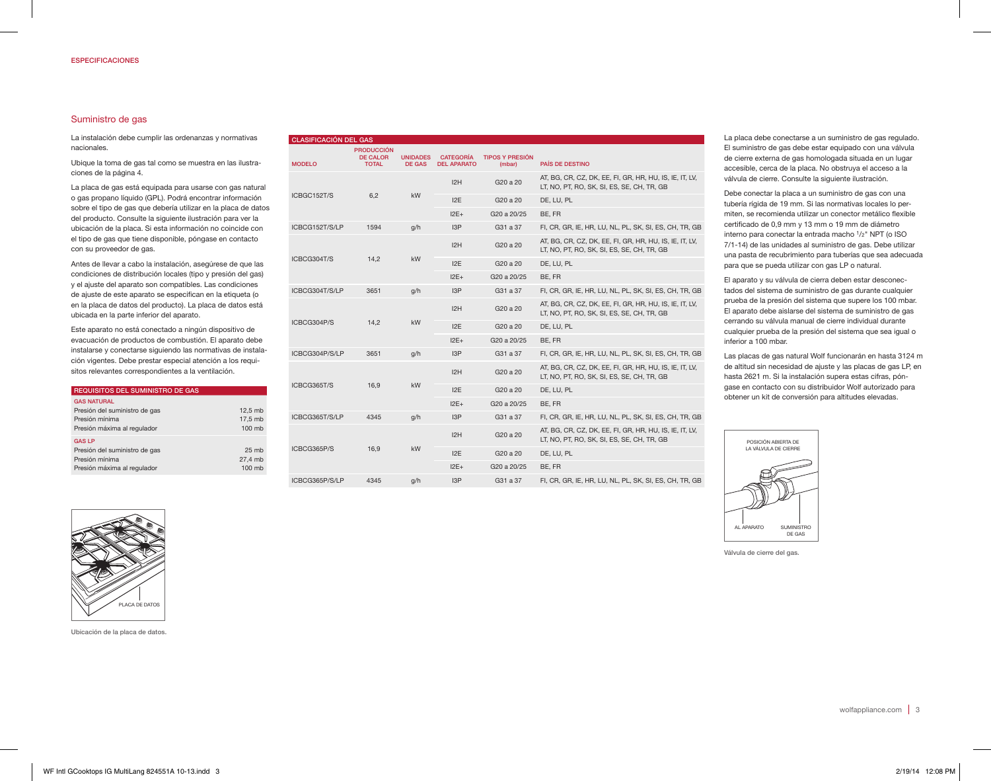## Suministro de gas

La instalación debe cumplir las ordenanzas y normativas nacionales.

Ubique la toma de gas tal como se muestra en las ilustraciones de la página 4.

La placa de gas está equipada para usarse con gas natural o gas propano líquido (GPL). Podrá encontrar información sobre el tipo de gas que debería utilizar en la placa de datos del producto. Consulte la siguiente ilustración para ver la ubicación de la placa. Si esta información no coincide con el tipo de gas que tiene disponible, póngase en contacto con su proveedor de gas.

Antes de llevar a cabo la instalación, asegúrese de que las condiciones de distribución locales (tipo y presión del gas) y el ajuste del aparato son compatibles. Las condiciones de ajuste de este aparato se especifican en la etiqueta (o en la placa de datos del producto). La placa de datos está ubicada en la parte inferior del aparato.

Este aparato no está conectado a ningún dispositivo de evacuación de productos de combustión. El aparato debe instalarse y conectarse siguiendo las normativas de instalación vigentes. Debe prestar especial atención a los requisitos relevantes correspondientes a la ventilación.

| <b>REQUISITOS DEL SUMINISTRO DE GAS</b>                                                         |                                         |
|-------------------------------------------------------------------------------------------------|-----------------------------------------|
| <b>GAS NATURAL</b><br>Presión del suministro de gas                                             | 12.5 mb                                 |
| Presión mínima<br>Presión máxima al regulador                                                   | 17.5 mb<br>100 mb                       |
| <b>GAS LP</b><br>Presión del suministro de gas<br>Presión mínima<br>Presión máxima al regulador | 25 <sub>mb</sub><br>27.4 mb<br>$100$ mb |

|                | <b>PRODUCCIÓN</b>               |                                  |                                        |                                                                                                       |                                                                                                       |
|----------------|---------------------------------|----------------------------------|----------------------------------------|-------------------------------------------------------------------------------------------------------|-------------------------------------------------------------------------------------------------------|
| <b>MODELO</b>  | <b>DE CALOR</b><br><b>TOTAL</b> | <b>UNIDADES</b><br><b>DE GAS</b> | <b>CATEGORÍA</b><br><b>DEL APARATO</b> | <b>TIPOS Y PRESIÓN</b><br>(mbar)                                                                      | PAÍS DE DESTINO                                                                                       |
|                |                                 | 12H                              | G20 a 20                               | AT, BG, CR, CZ, DK, EE, FI, GR, HR, HU, IS, IE, IT, LV,<br>LT, NO, PT, RO, SK, SI, ES, SE, CH, TR, GB |                                                                                                       |
| ICBGC152T/S    | 6,2                             | kW                               | 12E                                    | G20 a 20                                                                                              | DE, LU, PL                                                                                            |
|                |                                 |                                  | $12E+$                                 | G20 a 20/25                                                                                           | BE, FR                                                                                                |
| ICBCG152T/S/LP | 1594                            | q/h                              | 13P                                    | G31 a 37                                                                                              | FI, CR, GR, IE, HR, LU, NL, PL, SK, SI, ES, CH, TR, GB                                                |
|                |                                 |                                  | I2H                                    | G20 a 20                                                                                              | AT, BG, CR, CZ, DK, EE, FI, GR, HR, HU, IS, IE, IT, LV,<br>LT, NO, PT, RO, SK, SI, ES, SE, CH, TR, GB |
| ICBCG304T/S    | 14,2                            | kW                               | 12E                                    | G20 a 20                                                                                              | DE, LU, PL                                                                                            |
|                |                                 |                                  | $12E+$                                 | G20 a 20/25                                                                                           | BE, FR                                                                                                |
| ICBCG304T/S/LP | 3651                            | q/h                              | 13P                                    | G31 a 37                                                                                              | FI, CR, GR, IE, HR, LU, NL, PL, SK, SI, ES, CH, TR, GB                                                |
|                |                                 | kW                               | 12H                                    | G20 a 20                                                                                              | AT, BG, CR, CZ, DK, EE, FI, GR, HR, HU, IS, IE, IT, LV,<br>LT, NO, PT, RO, SK, SI, ES, SE, CH, TR, GB |
| ICBCG304P/S    | 14.2                            |                                  | 12E                                    | G20 a 20                                                                                              | DE. LU. PL                                                                                            |
|                |                                 |                                  | $12E+$                                 | G20 a 20/25                                                                                           | BE, FR                                                                                                |
| ICBCG304P/S/LP | 3651                            | q/h                              | 13P                                    | G31 a 37                                                                                              | FI, CR, GR, IE, HR, LU, NL, PL, SK, SI, ES, CH, TR, GB                                                |
|                |                                 |                                  | 12H                                    | G20 a 20                                                                                              | AT, BG, CR, CZ, DK, EE, FI, GR, HR, HU, IS, IE, IT, LV,<br>LT, NO, PT, RO, SK, SI, ES, SE, CH, TR, GB |
| ICBCG365T/S    | 16,9                            | kW                               | 12E                                    | G20 a 20                                                                                              | DE. LU. PL                                                                                            |
|                |                                 |                                  | $12E+$                                 | G20 a 20/25                                                                                           | BE, FR                                                                                                |
| ICBCG365T/S/LP | 4345                            | q/h                              | 13P                                    | G31 a 37                                                                                              | FI, CR, GR, IE, HR, LU, NL, PL, SK, SI, ES, CH, TR, GB                                                |
|                |                                 |                                  | I2H                                    | G20 a 20                                                                                              | AT, BG, CR, CZ, DK, EE, FI, GR, HR, HU, IS, IE, IT, LV,<br>LT, NO, PT, RO, SK, SI, ES, SE, CH, TR, GB |
| ICBCG365P/S    | 16,9                            | kW                               | 12E                                    | G20 a 20                                                                                              | DE, LU, PL                                                                                            |
|                |                                 |                                  | $12E+$                                 | G20 a 20/25                                                                                           | BE, FR                                                                                                |
| ICBCG365P/S/LP | 4345                            | q/h                              | 13P                                    | G31 a 37                                                                                              | FI, CR, GR, IE, HR, LU, NL, PL, SK, SI, ES, CH, TR, GB                                                |

La placa debe conectarse a un suministro de gas regulado. El suministro de gas debe estar equipado con una válvula de cierre externa de gas homologada situada en un lugar accesible, cerca de la placa. No obstruya el acceso a la válvula de cierre. Consulte la siguiente ilustración.

Debe conectar la placa a un suministro de gas con una tubería rígida de 19 mm. Si las normativas locales lo permiten, se recomienda utilizar un conector metálico flexible certificado de 0,9 mm y 13 mm o 19 mm de diámetro interno para conectar la entrada macho 1/2" NPT (o ISO 7/1-14) de las unidades al suministro de gas. Debe utilizar una pasta de recubrimiento para tuberías que sea adecuada para que se pueda utilizar con gas LP o natural.

El aparato y su válvula de cierra deben estar desconectados del sistema de suministro de gas durante cualquier prueba de la presión del sistema que supere los 100 mbar. El aparato debe aislarse del sistema de suministro de gas cerrando su válvula manual de cierre individual durante cualquier prueba de la presión del sistema que sea igual o inferior a 100 mbar.

Las placas de gas natural Wolf funcionarán en hasta 3124 m de altitud sin necesidad de ajuste y las placas de gas LP, en hasta 2621 m. Si la instalación supera estas cifras, póngase en contacto con su distribuidor Wolf autorizado para obtener un kit de conversión para altitudes elevadas.



Válvula de cierre del gas.



Ubicación de la placa de datos.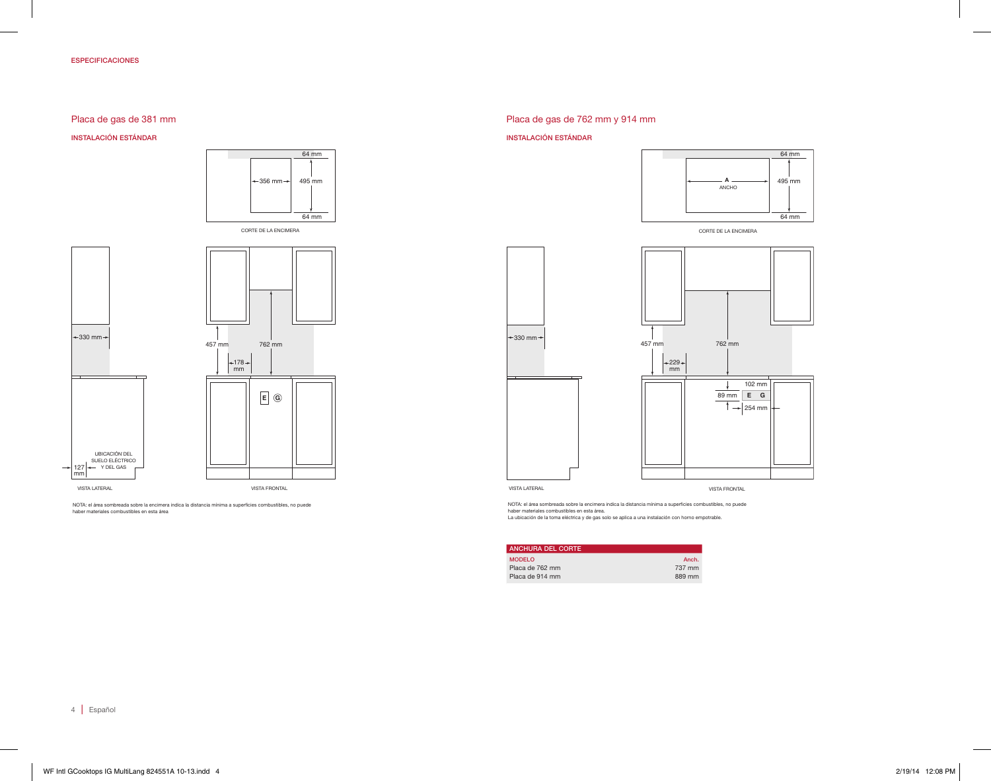## ESPECIFICACIONES

# Placa de gas de 381 mm

INSTALACIÓN ESTÁNDAR





*NOTE: Shaded area above countertop indicates minimum clearance to combustible surfaces,* NOTA: el área sombreada sobre la encimera indica la distancia mínima a superficies combustibles, no puede *combustible materials cannot be located within this area.* haber materiales combustibles en esta área

# Placa de gas de 762 mm y 914 mm

#### INSTALACIÓN ESTÁNDAR



CORTE DE LA ENCIMERA



*NOTE: Shaded area above countertop indicates minimum clearance to combustible surfaces,* NOTA: el área sombreada sobre la encimera indica la distancia mínima a superficies combustibles, no puede haber materiales combustibles en esta área.<br>La ubicación de la toma eléctrica y de gas solo se aplica a una instalación con horno empotrable.

| <b>ANCHURA DEL CORTE</b> |        |
|--------------------------|--------|
| <b>MODELO</b>            | Anch.  |
| Placa de 762 mm          | 737 mm |
| Placa de 914 mm          | 889 mm |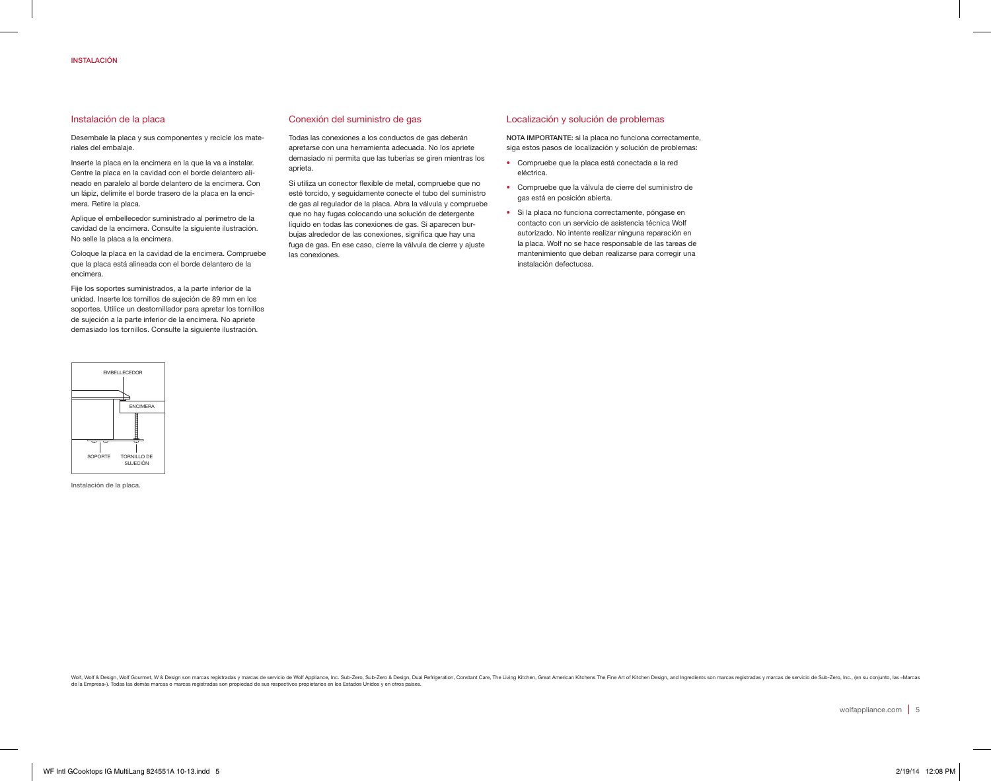## Instalación de la placa

Desembale la placa y sus componentes y recicle los materiales del embalaje.

Inserte la placa en la encimera en la que la va a instalar. Centre la placa en la cavidad con el borde delantero alineado en paralelo al borde delantero de la encimera. Con un lápiz, delimite el borde trasero de la placa en la encimera. Retire la placa.

Aplique el embellecedor suministrado al perímetro de la cavidad de la encimera. Consulte la siguiente ilustración. No selle la placa a la encimera.

Coloque la placa en la cavidad de la encimera. Compruebe que la placa está alineada con el borde delantero de la encimera.

Fije los soportes suministrados, a la parte inferior de la unidad. Inserte los tornillos de sujeción de 89 mm en los soportes. Utilice un destornillador para apretar los tornillos de sujeción a la parte inferior de la encimera. No apriete demasiado los tornillos. Consulte la siguiente ilustración.



Instalación de la placa.

## Conexión del suministro de gas

Todas las conexiones a los conductos de gas deberán apretarse con una herramienta adecuada. No los apriete demasiado ni permita que las tuberías se giren mientras los aprieta.

Si utiliza un conector flexible de metal, compruebe que no esté torcido, y seguidamente conecte el tubo del suministro de gas al regulador de la placa. Abra la válvula y compruebe que no hay fugas colocando una solución de detergente líquido en todas las conexiones de gas. Si aparecen burbujas alrededor de las conexiones, significa que hay una fuga de gas. En ese caso, cierre la válvula de cierre y ajuste las conexiones.

## Localización y solución de problemas

NOTA IMPORTANTE: si la placa no funciona correctamente, siga estos pasos de localización y solución de problemas:

- Compruebe que la placa está conectada a la red eléctrica.
- Compruebe que la válvula de cierre del suministro de gas está en posición abierta.
- Si la placa no funciona correctamente, póngase en contacto con un servicio de asistencia técnica Wolf autorizado. No intente realizar ninguna reparación en la placa. Wolf no se hace responsable de las tareas de mantenimiento que deban realizarse para corregir una instalación defectuosa.

Wolf & Design, Wolf Gourmet, W & Design son marcas registradas y marcas de servicio de Wolf Appliance, Inc. Sub-Zero, Sub-Zero & Design, Dual Refrigeration, Constant Care, The Living Kitchen, Great American Kitchens The Fi de la Empresa»). Todas las demás marcas o marcas registradas son propiedad de sus respectivos propietarios en los Estados Unidos y en otros países.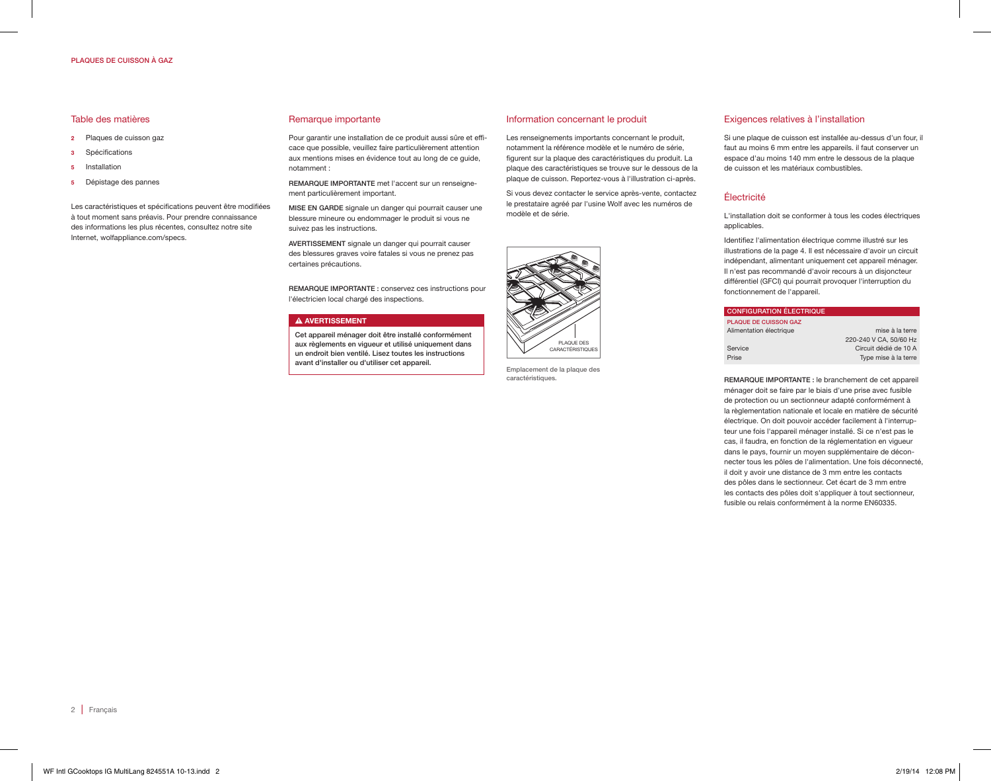## PLAQUES DE CUISSON À GAZ

## Table des matières

- 2 Plaques de cuisson gaz
- 3 Spécifications
- 5 Installation
- 5 Dépistage des pannes

Les caractéristiques et spécifications peuvent être modifiées à tout moment sans préavis. Pour prendre connaissance des informations les plus récentes, consultez notre site Internet, wolfappliance.com/specs.

#### Remarque importante

Pour garantir une installation de ce produit aussi sûre et efficace que possible, veuillez faire particulièrement attention aux mentions mises en évidence tout au long de ce guide, notamment :

REMARQUE IMPORTANTE met l'accent sur un renseignement particulièrement important.

MISE EN GARDE signale un danger qui pourrait causer une blessure mineure ou endommager le produit si vous ne suivez pas les instructions.

AVERTISSEMENT signale un danger qui pourrait causer des blessures graves voire fatales si vous ne prenez pas certaines précautions.

REMARQUE IMPORTANTE : conservez ces instructions pour l'électricien local chargé des inspections.

#### **A AVERTISSEMENT**

Cet appareil ménager doit être installé conformément aux règlements en vigueur et utilisé uniquement dans un endroit bien ventilé. Lisez toutes les instructions avant d'installer ou d'utiliser cet appareil.

#### Information concernant le produit

Les renseignements importants concernant le produit, notamment la référence modèle et le numéro de série, figurent sur la plaque des caractéristiques du produit. La plaque des caractéristiques se trouve sur le dessous de la plaque de cuisson. Reportez-vous à l'illustration ci-après.

Si vous devez contacter le service après-vente, contactez le prestataire agréé par l'usine Wolf avec les numéros de modèle et de série.



Emplacement de la plaque des caractéristiques.

## Exigences relatives à l'installation

Si une plaque de cuisson est installée au-dessus d'un four, il faut au moins 6 mm entre les appareils. il faut conserver un espace d'au moins 140 mm entre le dessous de la plaque de cuisson et les matériaux combustibles.

## Électricité

L'installation doit se conformer à tous les codes électriques applicables.

Identifiez l'alimentation électrique comme illustré sur les illustrations de la page 4. Il est nécessaire d'avoir un circuit indépendant, alimentant uniquement cet appareil ménager. Il n'est pas recommandé d'avoir recours à un disjoncteur différentiel (GFCI) qui pourrait provoquer l'interruption du fonctionnement de l'appareil.

| <b>CONFIGURATION ÉLECTRIQUE</b> |                        |
|---------------------------------|------------------------|
| <b>PLAQUE DE CUISSON GAZ</b>    |                        |
| Alimentation électrique         | mise à la terre        |
|                                 | 220-240 V CA, 50/60 Hz |
| Service                         | Circuit dédié de 10 A  |
| Prise                           | Type mise à la terre   |

REMARQUE IMPORTANTE : le branchement de cet appareil ménager doit se faire par le biais d'une prise avec fusible de protection ou un sectionneur adapté conformément à la règlementation nationale et locale en matière de sécurité électrique. On doit pouvoir accéder facilement à l'interrupteur une fois l'appareil ménager installé. Si ce n'est pas le cas, il faudra, en fonction de la réglementation en vigueur dans le pays, fournir un moyen supplémentaire de déconnecter tous les pôles de l'alimentation. Une fois déconnecté, il doit y avoir une distance de 3 mm entre les contacts des pôles dans le sectionneur. Cet écart de 3 mm entre les contacts des pôles doit s'appliquer à tout sectionneur, fusible ou relais conformément à la norme EN60335.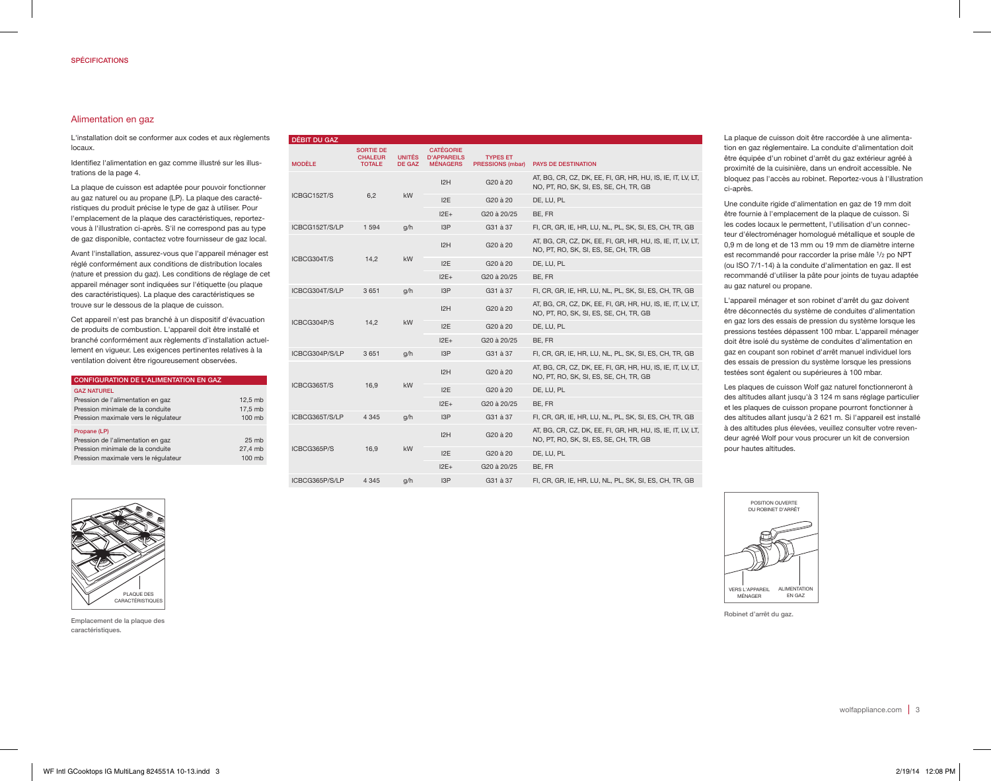## Alimentation en gaz

L'installation doit se conformer aux codes et aux règlements locaux.

Identifiez l'alimentation en gaz comme illustré sur les illustrations de la page 4.

La plaque de cuisson est adaptée pour pouvoir fonctionner au gaz naturel ou au propane (LP). La plaque des caractéristiques du produit précise le type de gaz à utiliser. Pour l'emplacement de la plaque des caractéristiques, reportezvous à l'illustration ci-après. S'il ne correspond pas au type de gaz disponible, contactez votre fournisseur de gaz local.

Avant l'installation, assurez-vous que l'appareil ménager est réglé conformément aux conditions de distribution locales (nature et pression du gaz). Les conditions de réglage de cet appareil ménager sont indiquées sur l'étiquette (ou plaque des caractéristiques). La plaque des caractéristiques se trouve sur le dessous de la plaque de cuisson.

Cet appareil n'est pas branché à un dispositif d'évacuation de produits de combustion. L'appareil doit être installé et branché conformément aux règlements d'installation actuellement en vigueur. Les exigences pertinentes relatives à la ventilation doivent être rigoureusement observées.

| <b>CONFIGURATION DE L'ALIMENTATION EN GAZ</b>                                                                                       |                                       |
|-------------------------------------------------------------------------------------------------------------------------------------|---------------------------------------|
| <b>GAZ NATUREL</b><br>Pression de l'alimentation en gaz<br>Pression minimale de la conduite<br>Pression maximale vers le régulateur | 12.5 mb<br>17.5 mb<br>100 mb          |
| Propane (LP)<br>Pression de l'alimentation en gaz<br>Pression minimale de la conduite<br>Pression maximale vers le régulateur       | 25 <sub>mb</sub><br>27.4 mb<br>100 mh |

| <b>DEBIT DU GAZ</b> |                                                     |                                |                                                           |                                     |                                                                                                       |
|---------------------|-----------------------------------------------------|--------------------------------|-----------------------------------------------------------|-------------------------------------|-------------------------------------------------------------------------------------------------------|
| <b>MODÈLE</b>       | <b>SORTIE DE</b><br><b>CHALEUR</b><br><b>TOTALE</b> | <b>UNITÉS</b><br><b>DE GAZ</b> | <b>CATÉGORIE</b><br><b>D'APPAREILS</b><br><b>MÉNAGERS</b> | <b>TYPES ET</b><br>PRESSIONS (mbar) | <b>PAYS DE DESTINATION</b>                                                                            |
|                     |                                                     |                                | 12H                                                       | G20 à 20                            | AT, BG, CR, CZ, DK, EE, FI, GR, HR, HU, IS, IE, IT, LV, LT,<br>NO, PT, RO, SK, SI, ES, SE, CH, TR, GB |
| ICBGC152T/S         | 6,2                                                 | kW                             | 12E                                                       | G <sub>20</sub> à 20                | DE, LU, PL                                                                                            |
|                     |                                                     |                                | $12E+$                                                    | G <sub>20</sub> à 20/25             | BE, FR                                                                                                |
| ICBCG152T/S/LP      | 1 5 9 4                                             | q/h                            | 13P                                                       | G31 à 37                            | FI, CR, GR, IE, HR, LU, NL, PL, SK, SI, ES, CH, TR, GB                                                |
|                     |                                                     |                                | 12H                                                       | G20 à 20                            | AT, BG, CR, CZ, DK, EE, FI, GR, HR, HU, IS, IE, IT, LV, LT,<br>NO, PT, RO, SK, SI, ES, SE, CH, TR, GB |
| ICBCG304T/S         | 14,2                                                | kW                             | 12E                                                       | G20 à 20                            | DE, LU, PL                                                                                            |
|                     |                                                     |                                | $12E+$                                                    | G20 à 20/25                         | BE, FR                                                                                                |
| ICBCG304T/S/LP      | 3 6 5 1                                             | q/h                            | 13P                                                       | G31 à 37                            | FI, CR, GR, IE, HR, LU, NL, PL, SK, SI, ES, CH, TR, GB                                                |
|                     |                                                     | 14,2<br><b>kW</b>              | I2H                                                       | G <sub>20</sub> à 20                | AT, BG, CR, CZ, DK, EE, FI, GR, HR, HU, IS, IE, IT, LV, LT,<br>NO, PT, RO, SK, SI, ES, SE, CH, TR, GB |
| ICBCG304P/S         |                                                     |                                | 12E                                                       | G20 à 20                            | DE, LU, PL                                                                                            |
|                     |                                                     |                                | $12E+$                                                    | G20 à 20/25                         | BE, FR                                                                                                |
| ICBCG304P/S/LP      | 3651                                                | q/h                            | I <sub>3</sub> P                                          | G31 à 37                            | FI, CR, GR, IE, HR, LU, NL, PL, SK, SI, ES, CH, TR, GB                                                |
|                     |                                                     |                                | 12H                                                       | G <sub>20</sub> à 20                | AT, BG, CR, CZ, DK, EE, FI, GR, HR, HU, IS, IE, IT, LV, LT,<br>NO, PT, RO, SK, SI, ES, SE, CH, TR, GB |
| ICBCG365T/S         | 16,9                                                | <b>kW</b>                      | 12E                                                       | G <sub>20</sub> à 20                | DE, LU, PL                                                                                            |
|                     |                                                     |                                | $12E+$                                                    | G20 à 20/25                         | BE, FR                                                                                                |
| ICBCG365T/S/LP      | 4 3 4 5                                             | q/h                            | 13P                                                       | G31 à 37                            | FI, CR, GR, IE, HR, LU, NL, PL, SK, SI, ES, CH, TR, GB                                                |
|                     |                                                     |                                | I2H                                                       | G <sub>20</sub> à 20                | AT, BG, CR, CZ, DK, EE, FI, GR, HR, HU, IS, IE, IT, LV, LT,<br>NO, PT, RO, SK, SI, ES, SE, CH, TR, GB |
| ICBCG365P/S         | 16,9                                                | <b>kW</b>                      | 12E                                                       | G20 à 20                            | DE, LU, PL                                                                                            |
|                     |                                                     |                                | $12E+$                                                    | G <sub>20</sub> à 20/25             | BE, FR                                                                                                |
| ICBCG365P/S/LP      | 4 3 4 5                                             | g/h                            | 13P                                                       | G31 à 37                            | FI, CR, GR, IE, HR, LU, NL, PL, SK, SI, ES, CH, TR, GB                                                |

La plaque de cuisson doit être raccordée à une alimentation en gaz réglementaire. La conduite d'alimentation doit être équipée d'un robinet d'arrêt du gaz extérieur agréé à proximité de la cuisinière, dans un endroit accessible. Ne bloquez pas l'accès au robinet. Reportez-vous à l'illustration ci-après.

Une conduite rigide d'alimentation en gaz de 19 mm doit être fournie à l'emplacement de la plaque de cuisson. Si les codes locaux le permettent, l'utilisation d'un connecteur d'électroménager homologué métallique et souple de 0,9 m de long et de 13 mm ou 19 mm de diamètre interne est recommandé pour raccorder la prise mâle 1/2 po NPT (ou ISO 7/1-14) à la conduite d'alimentation en gaz. Il est recommandé d'utiliser la pâte pour joints de tuyau adaptée au gaz naturel ou propane.

L'appareil ménager et son robinet d'arrêt du gaz doivent être déconnectés du système de conduites d'alimentation en gaz lors des essais de pression du système lorsque les pressions testées dépassent 100 mbar. L'appareil ménager doit être isolé du système de conduites d'alimentation en gaz en coupant son robinet d'arrêt manuel individuel lors des essais de pression du système lorsque les pressions testées sont égalent ou supérieures à 100 mbar.

Les plaques de cuisson Wolf gaz naturel fonctionneront à des altitudes allant jusqu'à 3 124 m sans réglage particulier et les plaques de cuisson propane pourront fonctionner à des altitudes allant jusqu'à 2 621 m. Si l'appareil est installé à des altitudes plus élevées, veuillez consulter votre revendeur agréé Wolf pour vous procurer un kit de conversion pour hautes altitudes.



Emplacement de la plaque des caractéristiques.



Robinet d'arrêt du gaz.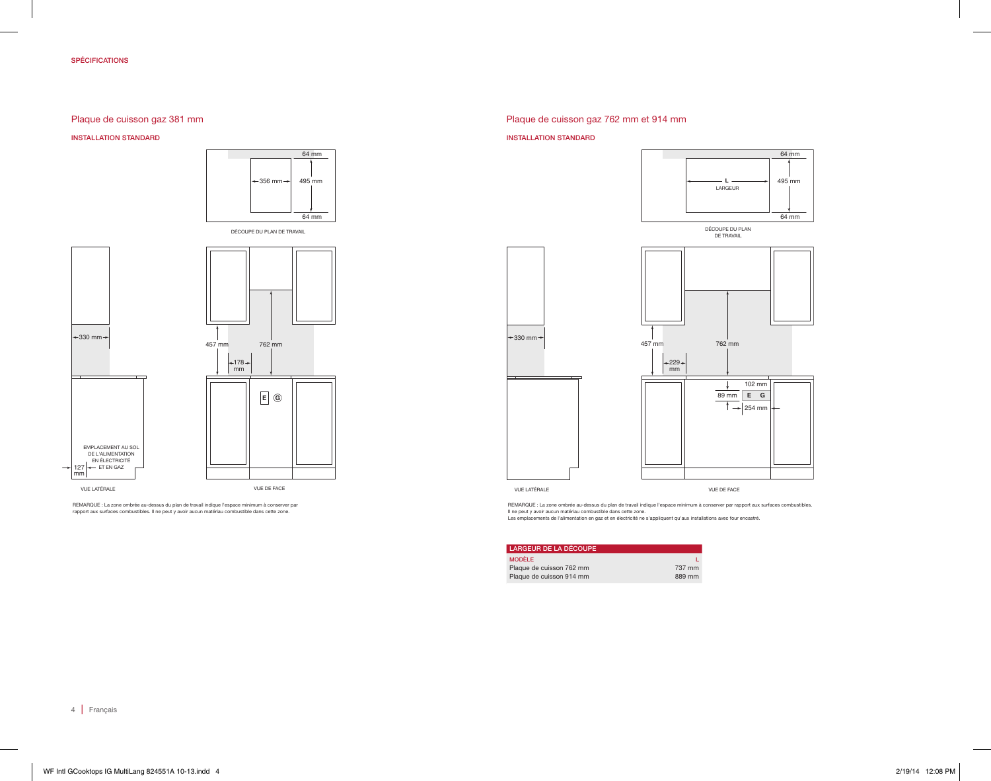## SPÉCIFICATIONS

# Plaque de cuisson gaz 381 mm

INSTALLATION STANDARD





REMARQUE : La zone ombrée au-dessus du plan de travail indique l'espace minimum à conserver par<br>rapport aux surfaces combustibles. Il ne peut y avoir aucun matériau combustible dans cette zone.

# Plaque de cuisson gaz 762 mm et 914 mm

#### INSTALLATION STANDARD



DECOUPE DU PLAN<br>DE TRAVAIL



REMARQUE : La zone ombrée au-dessus du plan de travail indique l'espace minimum à conserver par rapport aux surfaces combustibles. Il ne peut y avoir aucun matériau combustible dans cette zone.<br>Les emplacements de l'alimentation en gaz et en électricité ne s'appliquent qu'aux installations avec four encastré.

| <b>LARGEUR DE LA DÉCOUPE</b> |        |
|------------------------------|--------|
| <b>MODÈLE</b>                |        |
| Plaque de cuisson 762 mm     | 737 mm |
| Plaque de cuisson 914 mm     | 889 mm |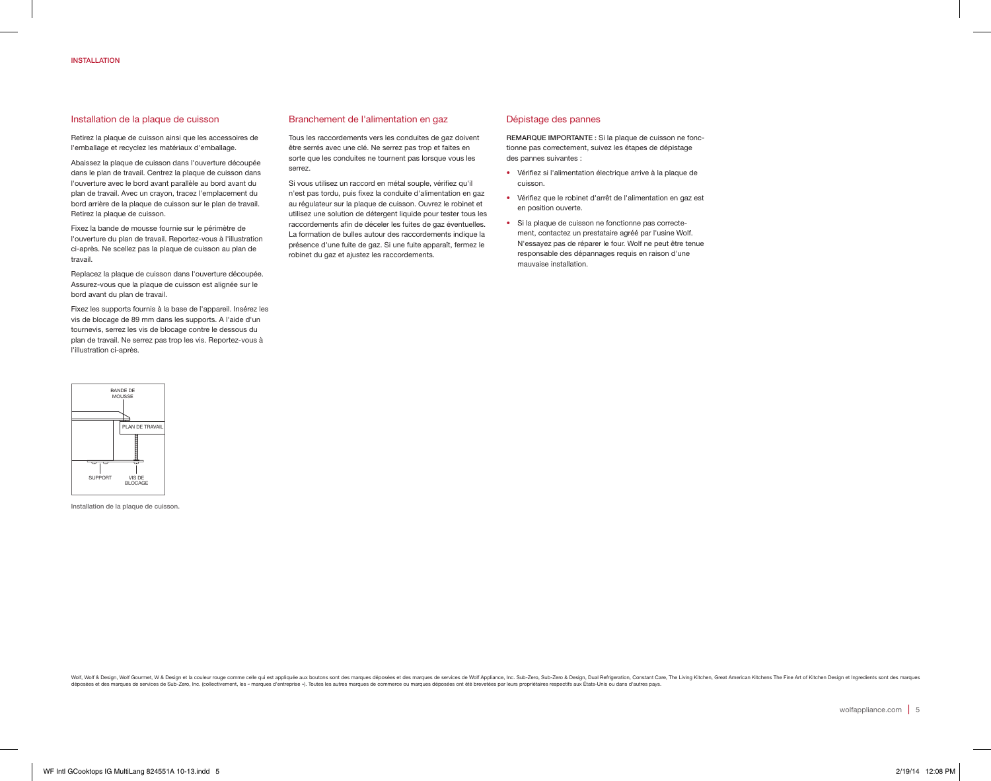## Installation de la plaque de cuisson

Retirez la plaque de cuisson ainsi que les accessoires de l'emballage et recyclez les matériaux d'emballage.

Abaissez la plaque de cuisson dans l'ouverture découpée dans le plan de travail. Centrez la plaque de cuisson dans l'ouverture avec le bord avant parallèle au bord avant du plan de travail. Avec un crayon, tracez l'emplacement du bord arrière de la plaque de cuisson sur le plan de travail. Retirez la plaque de cuisson.

Fixez la bande de mousse fournie sur le périmètre de l'ouverture du plan de travail. Reportez-vous à l'illustration ci-après. Ne scellez pas la plaque de cuisson au plan de travail.

Replacez la plaque de cuisson dans l'ouverture découpée. Assurez-vous que la plaque de cuisson est alignée sur le bord avant du plan de travail.

Fixez les supports fournis à la base de l'appareil. Insérez les vis de blocage de 89 mm dans les supports. A l'aide d'un tournevis, serrez les vis de blocage contre le dessous du plan de travail. Ne serrez pas trop les vis. Reportez-vous à l'illustration ci-après.



Installation de la plaque de cuisson.

## Branchement de l'alimentation en gaz

Tous les raccordements vers les conduites de gaz doivent être serrés avec une clé. Ne serrez pas trop et faites en sorte que les conduites ne tournent pas lorsque vous les serrez.

Si vous utilisez un raccord en métal souple, vérifiez qu'il n'est pas tordu, puis fixez la conduite d'alimentation en gaz au régulateur sur la plaque de cuisson. Ouvrez le robinet et utilisez une solution de détergent liquide pour tester tous les raccordements afin de déceler les fuites de gaz éventuelles. La formation de bulles autour des raccordements indique la présence d'une fuite de gaz. Si une fuite apparaît, fermez le robinet du gaz et ajustez les raccordements.

## Dépistage des pannes

REMARQUE IMPORTANTE : Si la plaque de cuisson ne fonctionne pas correctement, suivez les étapes de dépistage des pannes suivantes :

- Vérifiez si l'alimentation électrique arrive à la plaque de cuisson.
- Vérifiez que le robinet d'arrêt de l'alimentation en gaz est en position ouverte.
- Si la plaque de cuisson ne fonctionne pas correctement, contactez un prestataire agréé par l'usine Wolf. N'essayez pas de réparer le four. Wolf ne peut être tenue responsable des dépannages requis en raison d'une mauvaise installation.

Wolf & Design, Wolf Gourmet, W & Design et la couleur rouge comme celle qui est appliquée aux boutons sont des marques déposées et des marques déposées et des marques de porvices de Wolf Appliance, Inc. Sub-Zero, Sub-Zero, deposées on the broaden and control of the control of the control of the control of the control of the control of the control of the control of the control of the control of the control of the control of the control of the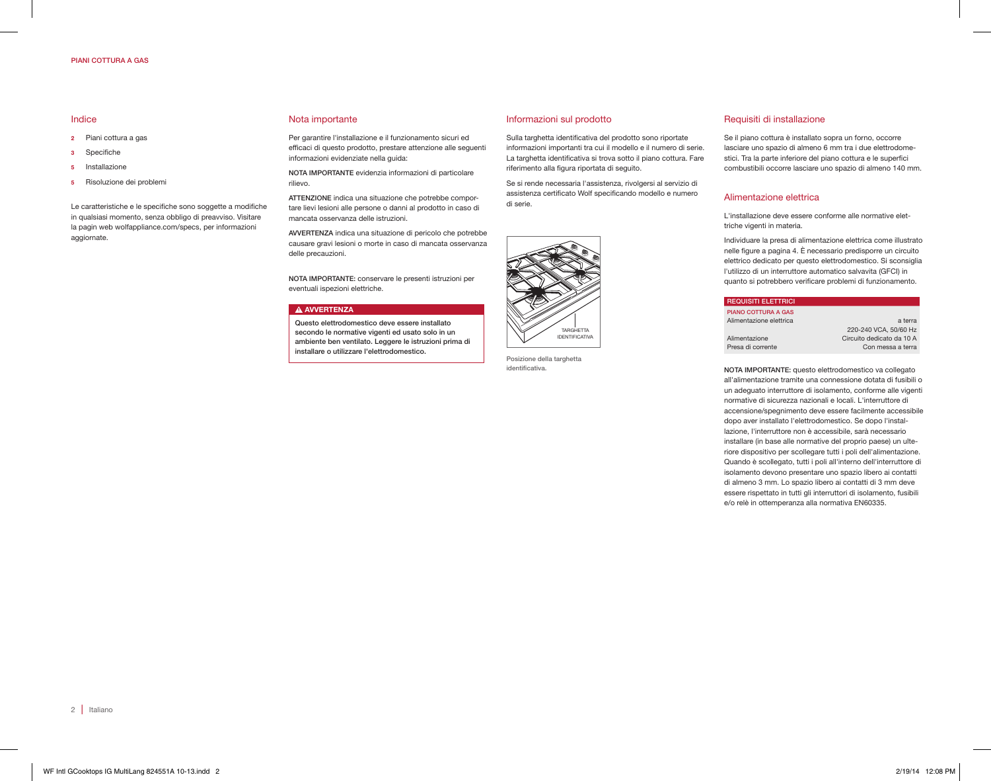## PIANI COTTURA A GAS

## Indice

- 2 Piani cottura a gas
- 3 Specifiche
- 5 Installazione
- 5 Risoluzione dei problemi

Le caratteristiche e le specifiche sono soggette a modifiche in qualsiasi momento, senza obbligo di preavviso. Visitare la pagin web wolfappliance.com/specs, per informazioni aggiornate.

#### Nota importante

Per garantire l'installazione e il funzionamento sicuri ed efficaci di questo prodotto, prestare attenzione alle seguenti informazioni evidenziate nella guida:

NOTA IMPORTANTE evidenzia informazioni di particolare rilievo.

ATTENZIONE indica una situazione che potrebbe comportare lievi lesioni alle persone o danni al prodotto in caso di mancata osservanza delle istruzioni.

AVVERTENZA indica una situazione di pericolo che potrebbe causare gravi lesioni o morte in caso di mancata osservanza delle precauzioni.

NOTA IMPORTANTE: conservare le presenti istruzioni per eventuali ispezioni elettriche.

## **A AVVERTENZA**

Questo elettrodomestico deve essere installato secondo le normative vigenti ed usato solo in un ambiente ben ventilato. Leggere le istruzioni prima di installare o utilizzare l'elettrodomestico.

Informazioni sul prodotto

Sulla targhetta identificativa del prodotto sono riportate informazioni importanti tra cui il modello e il numero di serie. La targhetta identificativa si trova sotto il piano cottura. Fare riferimento alla figura riportata di seguito.

Se si rende necessaria l'assistenza, rivolgersi al servizio di assistenza certificato Wolf specificando modello e numero di serie.



Posizione della targhetta identificativa.

## Requisiti di installazione

Se il piano cottura è installato sopra un forno, occorre lasciare uno spazio di almeno 6 mm tra i due elettrodomestici. Tra la parte inferiore del piano cottura e le superfici combustibili occorre lasciare uno spazio di almeno 140 mm.

## Alimentazione elettrica

L'installazione deve essere conforme alle normative elettriche vigenti in materia.

Individuare la presa di alimentazione elettrica come illustrato nelle figure a pagina 4. È necessario predisporre un circuito elettrico dedicato per questo elettrodomestico. Si sconsiglia l'utilizzo di un interruttore automatico salvavita (GFCI) in quanto si potrebbero verificare problemi di funzionamento.

| <b>REQUISITI ELETTRICI</b> |                           |
|----------------------------|---------------------------|
| <b>PIANO COTTURA A GAS</b> |                           |
| Alimentazione elettrica    | a terra                   |
|                            | 220-240 VCA, 50/60 Hz     |
| Alimentazione              | Circuito dedicato da 10 A |
| Presa di corrente          | Con messa a terra         |
|                            |                           |

NOTA IMPORTANTE: questo elettrodomestico va collegato all'alimentazione tramite una connessione dotata di fusibili o un adeguato interruttore di isolamento, conforme alle vigenti normative di sicurezza nazionali e locali. L'interruttore di accensione/spegnimento deve essere facilmente accessibile dopo aver installato l'elettrodomestico. Se dopo l'installazione, l'interruttore non è accessibile, sarà necessario installare (in base alle normative del proprio paese) un ulteriore dispositivo per scollegare tutti i poli dell'alimentazione. Quando è scollegato, tutti i poli all'interno dell'interruttore di isolamento devono presentare uno spazio libero ai contatti di almeno 3 mm. Lo spazio libero ai contatti di 3 mm deve essere rispettato in tutti gli interruttori di isolamento, fusibili e/o relè in ottemperanza alla normativa EN60335.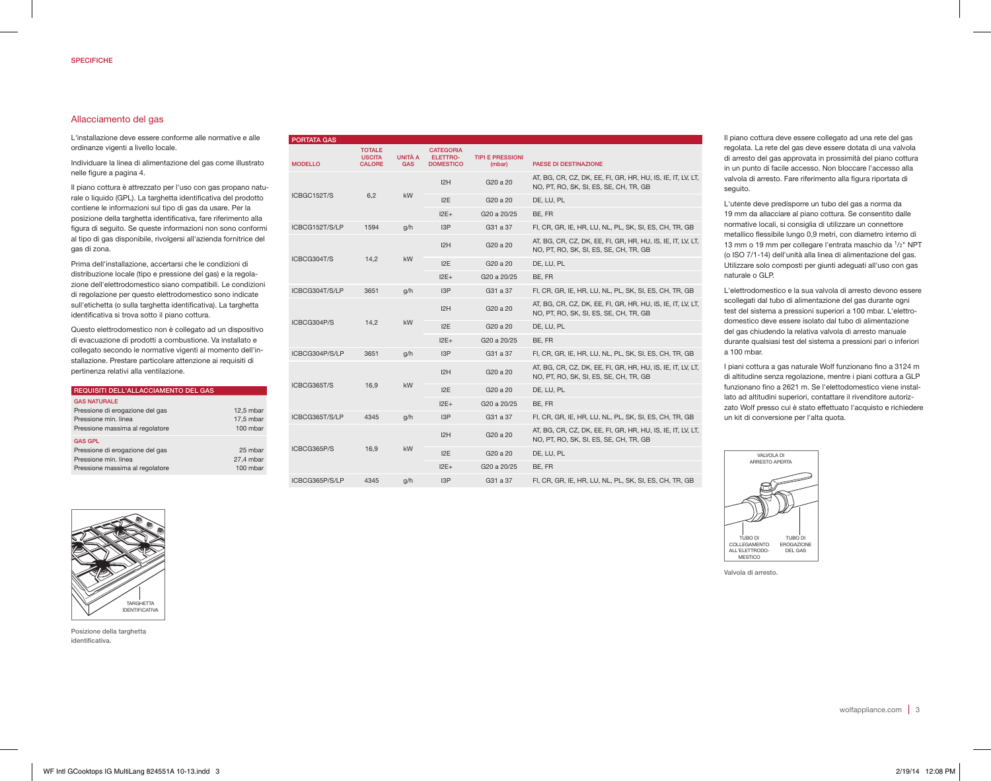## Allacciamento del gas

L'installazione deve essere conforme alle normative e alle ordinanze vigenti a livello locale.

Individuare la linea di alimentazione del gas come illustrato nelle figure a pagina 4.

Il piano cottura è attrezzato per l'uso con gas propano naturale o liquido (GPL). La targhetta identificativa del prodotto contiene le informazioni sul tipo di gas da usare. Per la posizione della targhetta identificativa, fare riferimento alla figura di seguito. Se queste informazioni non sono conformi al tipo di gas disponibile, rivolgersi all'azienda fornitrice del gas di zona.

Prima dell'installazione, accertarsi che le condizioni di distribuzione locale (tipo e pressione del gas) e la regolazione dell'elettrodomestico siano compatibili. Le condizioni di regolazione per questo elettrodomestico sono indicate sull'etichetta (o sulla targhetta identificativa). La targhetta identificativa si trova sotto il piano cottura.

Questo elettrodomestico non è collegato ad un dispositivo di evacuazione di prodotti a combustione. Va installato e collegato secondo le normative vigenti al momento dell'installazione. Prestare particolare attenzione ai requisiti di pertinenza relativi alla ventilazione.

| REQUISITI DELL'ALLACCIAMENTO DEL GAS                                                                              |                                      |
|-------------------------------------------------------------------------------------------------------------------|--------------------------------------|
| <b>GAS NATURALE</b><br>Pressione di erogazione del gas<br>Pressione min. linea<br>Pressione massima al regolatore | $12.5$ mbar<br>17.5 mbar<br>100 mbar |
| <b>GAS GPL</b><br>Pressione di erogazione del gas<br>Pressione min. linea<br>Pressione massima al regolatore      | 25 mbar<br>27.4 mbar<br>100 mbar     |

| <b>PORTATA GAS</b> |                                                 |                       |                                                  |                                                                                                       |                                                                                                       |
|--------------------|-------------------------------------------------|-----------------------|--------------------------------------------------|-------------------------------------------------------------------------------------------------------|-------------------------------------------------------------------------------------------------------|
| <b>MODELLO</b>     | <b>TOTALE</b><br><b>USCITA</b><br><b>CALORE</b> | UNITÀ A<br><b>GAS</b> | <b>CATEGORIA</b><br>ELETTRO-<br><b>DOMESTICO</b> | <b>TIPI E PRESSIONI</b><br>(mbar)                                                                     | <b>PAESE DI DESTINAZIONE</b>                                                                          |
|                    |                                                 |                       | I2H                                              | G <sub>20</sub> a 20                                                                                  | AT, BG, CR, CZ, DK, EE, FI, GR, HR, HU, IS, IE, IT, LV, LT,<br>NO, PT, RO, SK, SI, ES, SE, CH, TR, GB |
| ICBGC152T/S        | 6.2                                             | <b>kW</b>             | 12E                                              | G20 a 20                                                                                              | DE. LU. PL                                                                                            |
|                    |                                                 |                       | $12E+$                                           | G20 a 20/25                                                                                           | BE. FR                                                                                                |
| ICBCG152T/S/LP     | 1594                                            | g/h                   | 13P                                              | G31 a 37                                                                                              | FI, CR, GR, IE, HR, LU, NL, PL, SK, SI, ES, CH, TR, GB                                                |
|                    |                                                 |                       | I2H                                              | G20 a 20                                                                                              | AT, BG, CR, CZ, DK, EE, FI, GR, HR, HU, IS, IE, IT, LV, LT,<br>NO, PT, RO, SK, SI, ES, SE, CH, TR, GB |
| ICBCG304T/S        | 14,2                                            | kW                    | 12E                                              | G20 a 20                                                                                              | DE, LU, PL                                                                                            |
|                    |                                                 |                       | $12E+$                                           | G20 a 20/25                                                                                           | BE, FR                                                                                                |
| ICBCG304T/S/LP     | 3651                                            | q/h                   | 13P                                              | G31 a 37                                                                                              | FI, CR, GR, IE, HR, LU, NL, PL, SK, SI, ES, CH, TR, GB                                                |
|                    |                                                 | 12H                   | G20 a 20                                         | AT, BG, CR, CZ, DK, EE, FI, GR, HR, HU, IS, IE, IT, LV, LT,<br>NO, PT, RO, SK, SI, ES, SE, CH, TR, GB |                                                                                                       |
| ICBCG304P/S        | 14.2<br><b>kW</b>                               |                       | 12E                                              | G <sub>20</sub> a 20                                                                                  | DE, LU, PL                                                                                            |
|                    |                                                 |                       | $12E+$                                           | G20 a 20/25                                                                                           | BE, FR                                                                                                |
| ICBCG304P/S/LP     | 3651                                            | q/h                   | 13P                                              | G31 a 37                                                                                              | FI, CR, GR, IE, HR, LU, NL, PL, SK, SI, ES, CH, TR, GB                                                |
|                    |                                                 |                       | 12H                                              | G <sub>20</sub> a 20                                                                                  | AT, BG, CR, CZ, DK, EE, FI, GR, HR, HU, IS, IE, IT, LV, LT,<br>NO, PT, RO, SK, SI, ES, SE, CH, TR, GB |
| ICBCG365T/S        | 16,9                                            | <b>kW</b>             | 12E                                              | G20 a 20                                                                                              | DE, LU, PL                                                                                            |
|                    |                                                 |                       | $12E+$                                           | G20 a 20/25                                                                                           | BE, FR                                                                                                |
| ICBCG365T/S/LP     | 4345                                            | q/h                   | 13P                                              | G31 a 37                                                                                              | FI, CR, GR, IE, HR, LU, NL, PL, SK, SI, ES, CH, TR, GB                                                |
|                    |                                                 |                       | I2H                                              | G20 a 20                                                                                              | AT, BG, CR, CZ, DK, EE, FI, GR, HR, HU, IS, IE, IT, LV, LT,<br>NO, PT, RO, SK, SI, ES, SE, CH, TR, GB |
| ICBCG365P/S        | 16,9                                            | <b>kW</b>             | 12E                                              | G <sub>20</sub> a 20                                                                                  | DE. LU. PL                                                                                            |
|                    |                                                 |                       | $12E+$                                           | G20 a 20/25                                                                                           | BE, FR                                                                                                |
| ICBCG365P/S/LP     | 4345                                            | q/h                   | 13P                                              | G31 a 37                                                                                              | FI, CR, GR, IE, HR, LU, NL, PL, SK, SI, ES, CH, TR, GB                                                |

Il piano cottura deve essere collegato ad una rete del gas regolata. La rete del gas deve essere dotata di una valvola di arresto del gas approvata in prossimità del piano cottura in un punto di facile accesso. Non bloccare l'accesso alla valvola di arresto. Fare riferimento alla figura riportata di seguito.

L'utente deve predisporre un tubo del gas a norma da 19 mm da allacciare al piano cottura. Se consentito dalle normative locali, si consiglia di utilizzare un connettore metallico flessibile lungo 0,9 metri, con diametro interno di 13 mm o 19 mm per collegare l'entrata maschio da 1/2" NPT (o ISO 7/1-14) dell'unità alla linea di alimentazione del gas. Utilizzare solo composti per giunti adeguati all'uso con gas naturale o GLP.

L'elettrodomestico e la sua valvola di arresto devono essere scollegati dal tubo di alimentazione del gas durante ogni test del sistema a pressioni superiori a 100 mbar. L'elettrodomestico deve essere isolato dal tubo di alimentazione del gas chiudendo la relativa valvola di arresto manuale durante qualsiasi test del sistema a pressioni pari o inferiori a 100 mbar.

I piani cottura a gas naturale Wolf funzionano fino a 3124 m di altitudine senza regolazione, mentre i piani cottura a GLP funzionano fino a 2621 m. Se l'elettodomestico viene installato ad altitudini superiori, contattare il rivenditore autorizzato Wolf presso cui è stato effettuato l'acquisto e richiedere un kit di conversione per l'alta quota.



Valvola di arresto.



Posizione della targhetta identificativa.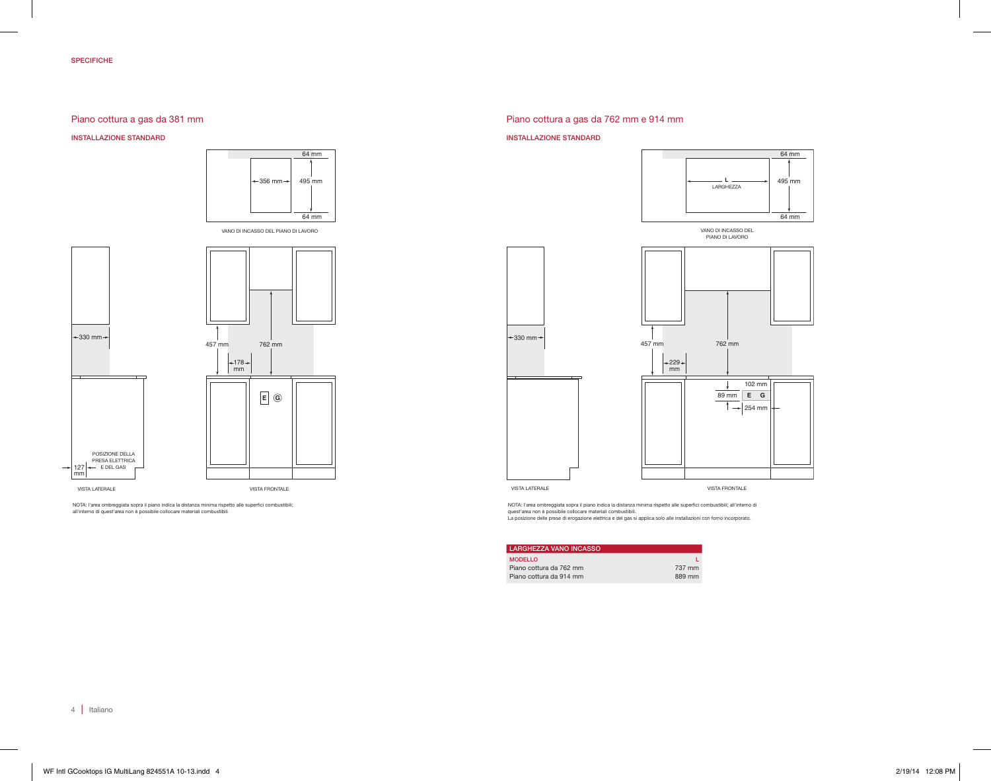# Piano cottura a gas da 381 mm

#### INSTALLAZIONE STANDARD



VANO DI INCASSO DEL PIANO DI LAVORO



NOTA: l'area ombreggiata sopra il piano indica la distanza minima rispetto alle superfici combustibili;<br>all'interno di quest'area non è possibile collocare materiali combustibili

# Piano cottura a gas da 762 mm e 914 mm

#### INSTALLAZIONE STANDARD



VANO DI INCASSO DEL<br>PIANO DI LAVORO



VISTA LATERALE

NOTA: l'area ombreggiata sopra il piano indica la distanza minima rispetto alle superfici combustibili; all'interno di

quest'area non è possibile collocare materiali combustibili.<br>La posizione delle prese di erogazione elettrica e del gas si applica solo alle installazioni con forno incorporato.

| <b>LARGHEZZA VANO INCASSO</b> |        |
|-------------------------------|--------|
| <b>MODELLO</b>                |        |
| Piano cottura da 762 mm       | 737 mm |
| Piano cottura da 914 mm       | 889 mm |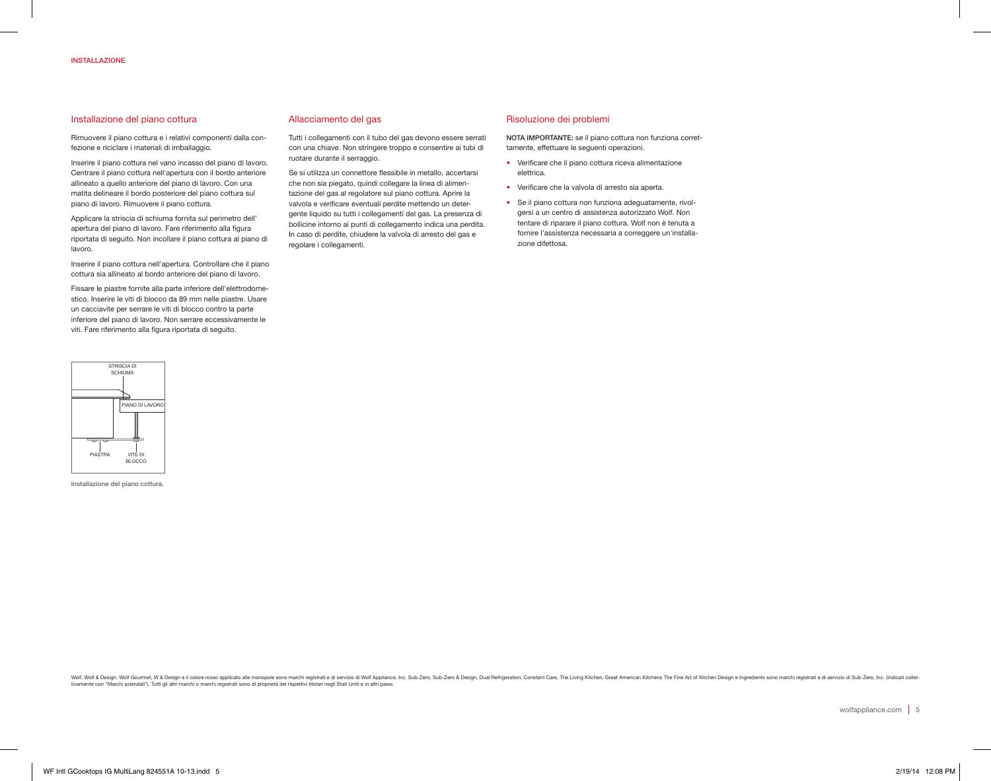## INSTALLAZIONE

## Installazione del piano cottura

Rimuovere il piano cottura e i relativi componenti dalla confezione e riciclare i materiali di imballaggio.

Inserire il piano cottura nel vano incasso del piano di lavoro. Centrare il piano cottura nell'apertura con il bordo anteriore allineato a quello anteriore del piano di lavoro. Con una matita delineare il bordo posteriore del piano cottura sul piano di lavoro. Rimuovere il piano cottura.

Applicare la striscia di schiuma fornita sul perimetro dell' apertura del piano di lavoro. Fare riferimento alla figura riportata di seguito. Non incollare il piano cottura al piano di lavoro.

Inserire il piano cottura nell'apertura. Controllare che il piano cottura sia allineato al bordo anteriore del piano di lavoro.

Fissare le piastre fornite alla parte inferiore dell'elettrodomestico. Inserire le viti di blocco da 89 mm nelle piastre. Usare un cacciavite per serrare le viti di blocco contro la parte inferiore del piano di lavoro. Non serrare eccessivamente le viti. Fare riferimento alla figura riportata di seguito.



Installazione del piano cottura.

## Allacciamento del gas

Tutti i collegamenti con il tubo del gas devono essere serrati con una chiave. Non stringere troppo e consentire ai tubi di ruotare durante il serraggio.

Se si utilizza un connettore flessibile in metallo, accertarsi che non sia piegato, quindi collegare la linea di alimentazione del gas al regolatore sul piano cottura. Aprire la valvola e verificare eventuali perdite mettendo un detergente liquido su tutti i collegamenti del gas. La presenza di bollicine intorno ai punti di collegamento indica una perdita. In caso di perdite, chiudere la valvola di arresto del gas e regolare i collegamenti.

#### Risoluzione dei problemi

NOTA IMPORTANTE: se il piano cottura non funziona correttamente, effettuare le seguenti operazioni.

- Verificare che il piano cottura riceva alimentazione elettrica.
- Verificare che la valvola di arresto sia aperta.
- Se il piano cottura non funziona adeguatamente, rivolgersi a un centro di assistenza autorizzato Wolf. Non tentare di riparare il piano cottura. Wolf non è tenuta a fornire l'assistenza necessaria a correggere un'installazione difettosa.

Wolf & Design, Wolf Gourmet, W & Design e il colore rosso applicato alle manopole sono marchi registrati e di servizio di Wolf Appliance, Inc. Sub-Zero, Sub-Zero, Design, Dual Refrigeration, Constant Care, The Living Kitch tivamente con "Marchi aziendali"). Tutti gli altri marchi o marchi registrati sono di proprietà dei rispettivi titolari negli Stati Uniti e in altri paesi.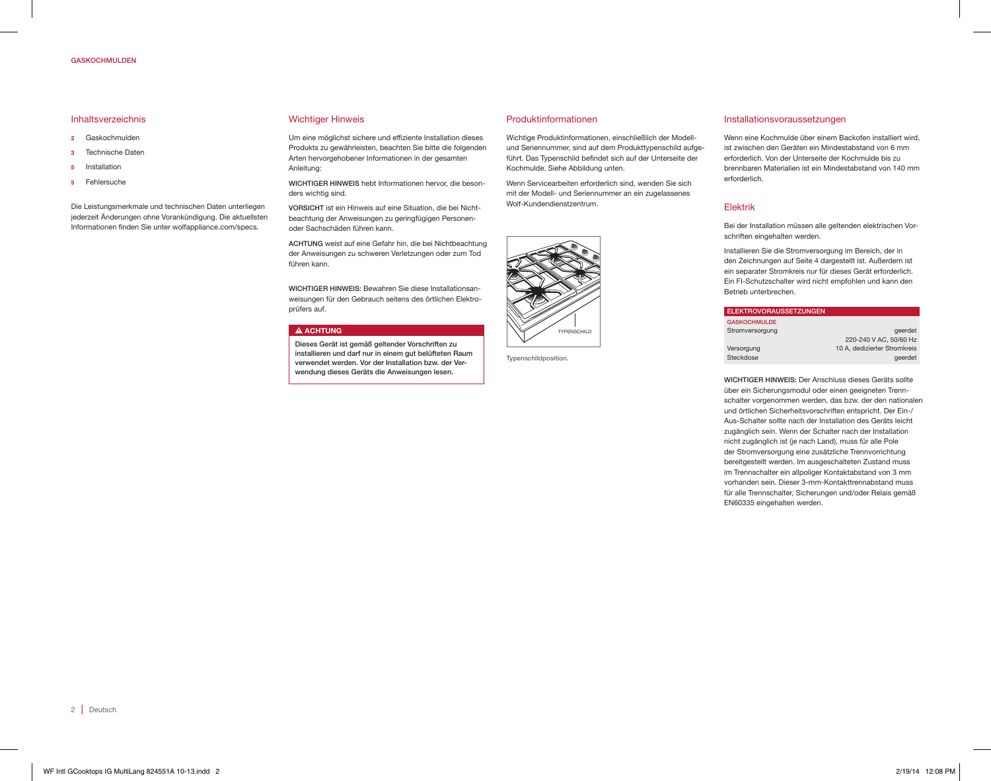## GASKOCHMULDEN

## Inhaltsverzeichnis

- 2 Gaskochmulden
- 3 Technische Daten
- 5 Installation
- 5 Fehlersuche

Die Leistungsmerkmale und technischen Daten unterliegen jederzeit Änderungen ohne Vorankündigung. Die aktuellsten Informationen finden Sie unter wolfappliance.com/specs.

#### Wichtiger Hinweis

Um eine möglichst sichere und effiziente Installation dieses Produkts zu gewährleisten, beachten Sie bitte die folgenden Arten hervorgehobener Informationen in der gesamten Anleitung:

WICHTIGER HINWEIS hebt Informationen hervor, die besonders wichtig sind.

VORSICHT ist ein Hinweis auf eine Situation, die bei Nichtbeachtung der Anweisungen zu geringfügigen Personenoder Sachschäden führen kann.

ACHTUNG weist auf eine Gefahr hin, die bei Nichtbeachtung der Anweisungen zu schweren Verletzungen oder zum Tod führen kann.

WICHTIGER HINWEIS: Bewahren Sie diese Installationsanweisungen für den Gebrauch seitens des örtlichen Elektroprüfers auf.

#### **A ACHTUNG**

Dieses Gerät ist gemäß geltender Vorschriften zu installieren und darf nur in einem gut belüfteten Raum verwendet werden. Vor der Installation bzw. der Verwendung dieses Geräts die Anweisungen lesen.

#### Produktinformationen

Wichtige Produktinformationen, einschließlich der Modellund Seriennummer, sind auf dem Produkttypenschild aufgeführt. Das Typenschild befindet sich auf der Unterseite der Kochmulde. Siehe Abbildung unten.

Wenn Servicearbeiten erforderlich sind, wenden Sie sich mit der Modell- und Seriennummer an ein zugelassenes Wolf-Kundendienstzentrum.



Typenschildposition.

## Installationsvoraussetzungen

Wenn eine Kochmulde über einem Backofen installiert wird, ist zwischen den Geräten ein Mindestabstand von 6 mm erforderlich. Von der Unterseite der Kochmulde bis zu brennbaren Materialien ist ein Mindestabstand von 140 mm erforderlich.

#### Elektrik

Bei der Installation müssen alle geltenden elektrischen Vorschriften eingehalten werden.

Installieren Sie die Stromversorgung im Bereich, der in den Zeichnungen auf Seite 4 dargestellt ist. Außerdem ist ein separater Stromkreis nur für dieses Gerät erforderlich. Ein FI-Schutzschalter wird nicht empfohlen und kann den Betrieb unterbrechen.

| ELEKTROVORAUSSETZUNGEN |                              |
|------------------------|------------------------------|
| <b>GASKOCHMULDE</b>    |                              |
| Stromversorgung        | geerdet                      |
|                        | 220-240 V AC, 50/60 Hz       |
| Versorgung             | 10 A, dedizierter Stromkreis |
| Steckdose              | geerdet                      |

WICHTIGER HINWEIS: Der Anschluss dieses Geräts sollte über ein Sicherungsmodul oder einen geeigneten Trennschalter vorgenommen werden, das bzw. der den nationalen und örtlichen Sicherheitsvorschriften entspricht. Der Ein-/ Aus-Schalter sollte nach der Installation des Geräts leicht zugänglich sein. Wenn der Schalter nach der Installation nicht zugänglich ist (je nach Land), muss für alle Pole der Stromversorgung eine zusätzliche Trennvorrichtung bereitgestellt werden. Im ausgeschalteten Zustand muss im Trennschalter ein allpoliger Kontaktabstand von 3 mm vorhanden sein. Dieser 3-mm-Kontakttrennabstand muss für alle Trennschalter, Sicherungen und/oder Relais gemäß EN60335 eingehalten werden.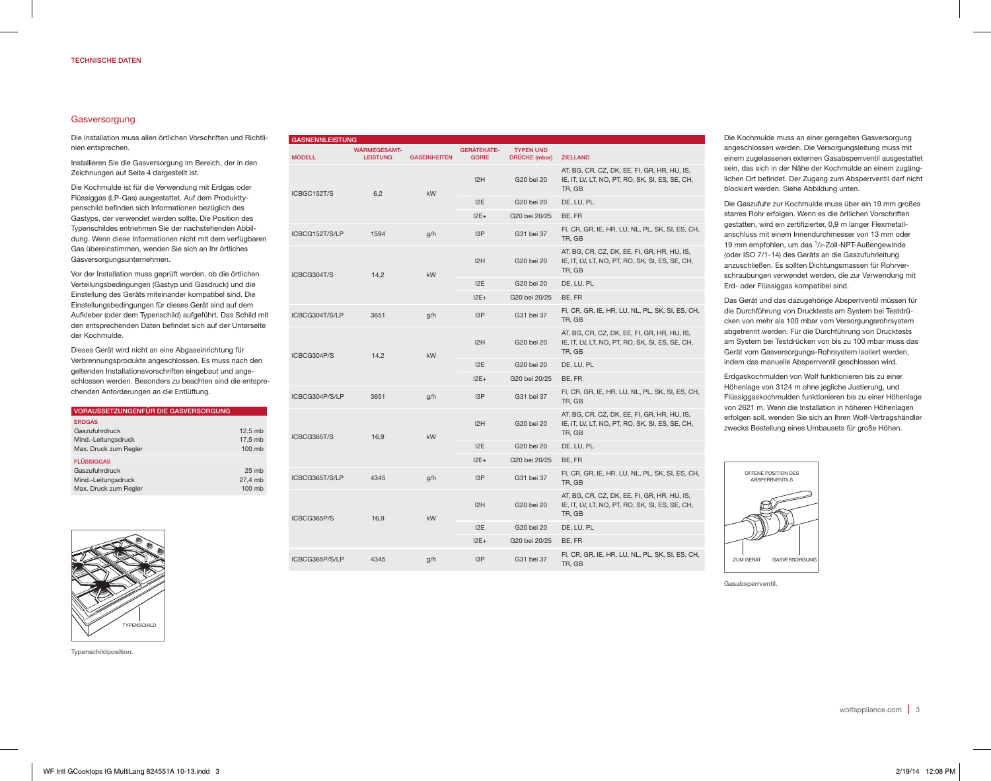## Gasversorgung

Die Installation muss allen örtlichen Vorschriften und Richtlinien entsprechen.

Installieren Sie die Gasversorgung im Bereich, der in den Zeichnungen auf Seite 4 dargestellt ist.

Die Kochmulde ist für die Verwendung mit Erdgas oder Flüssiggas (LP-Gas) ausgestattet. Auf dem Produkttypenschild befinden sich Informationen bezüglich des Gastyps, der verwendet werden sollte. Die Position des Typenschildes entnehmen Sie der nachstehenden Abbildung. Wenn diese Informationen nicht mit dem verfügbaren Gas übereinstimmen, wenden Sie sich an Ihr örtliches Gasversorgungsunternehmen.

Vor der Installation muss geprüft werden, ob die örtlichen Verteilungsbedingungen (Gastyp und Gasdruck) und die Einstellung des Geräts miteinander kompatibel sind. Die Einstellungsbedingungen für dieses Gerät sind auf dem Aufkleber (oder dem Typenschild) aufgeführt. Das Schild mit den entsprechenden Daten befindet sich auf der Unterseite der Kochmulde.

Dieses Gerät wird nicht an eine Abgaseinrichtung für Verbrennungsprodukte angeschlossen. Es muss nach den geltenden Installationsvorschriften eingebaut und angeschlossen werden. Besonders zu beachten sind die entsprechenden Anforderungen an die Entlüftung.

| <b>VORAUSSETZUNGENFÜR DIE GASVERSORGUNG</b>                                         |                                       |  |
|-------------------------------------------------------------------------------------|---------------------------------------|--|
| <b>ERDGAS</b><br>Gaszufuhrdruck<br>Mind.-Leitungsdruck<br>Max. Druck zum Regler     | 12.5 mb<br>17.5 mb<br>100 mb          |  |
| <b>FLÜSSIGGAS</b><br>Gaszufuhrdruck<br>Mind.-Leitungsdruck<br>Max. Druck zum Regler | 25 <sub>mb</sub><br>27.4 mb<br>100 mb |  |



# GASNENNLEISTUNG

| <b>MODELL</b>       | WÄRMEGESAMT-<br><b>LEISTUNG</b> | <b>GASEINHEITEN</b> | <b>GERÄTEKATE-</b><br><b>GORIE</b> | <b>TYPEN UND</b><br><b>DRÜCKE</b> (mbar) | <b>ZIELLAND</b>                                                                                          |
|---------------------|---------------------------------|---------------------|------------------------------------|------------------------------------------|----------------------------------------------------------------------------------------------------------|
| ICBGC152T/S         | 6,2                             | kW                  | 12H                                | G20 bei 20                               | AT, BG, CR, CZ, DK, EE, FI, GR, HR, HU, IS,<br>IE, IT, LV, LT, NO, PT, RO, SK, SI, ES, SE, CH,<br>TR, GB |
|                     |                                 |                     | 12E                                | G20 bei 20                               | DE, LU, PL                                                                                               |
|                     |                                 |                     | $12E+$                             | G20 bei 20/25                            | BE, FR                                                                                                   |
| ICBCG152T/S/LP      | 1594                            | g/h                 | 13P                                | G31 bei 37                               | FI, CR, GR, IE, HR, LU, NL, PL, SK, SI, ES, CH,<br>TR, GB                                                |
| ICBCG304T/S         | 14,2                            | kW                  | 12H                                | G20 bei 20                               | AT, BG, CR, CZ, DK, EE, FI, GR, HR, HU, IS,<br>IE, IT, LV, LT, NO, PT, RO, SK, SI, ES, SE, CH,<br>TR, GB |
|                     |                                 |                     | 12E                                | G20 bei 20                               | DE, LU, PL                                                                                               |
|                     |                                 |                     | $12E+$                             | G20 bei 20/25                            | BE, FR                                                                                                   |
| ICBCG304T/S/LP      | 3651                            | g/h                 | 13P                                | G31 bei 37                               | FI, CR, GR, IE, HR, LU, NL, PL, SK, SI, ES, CH,<br>TR, GB                                                |
| ICBCG304P/S<br>14,2 |                                 | kW                  | 12H                                | G20 bei 20                               | AT, BG, CR, CZ, DK, EE, FI, GR, HR, HU, IS,<br>IE, IT, LV, LT, NO, PT, RO, SK, SI, ES, SE, CH,<br>TR, GB |
|                     |                                 |                     | 12E                                | G20 bei 20                               | DE, LU, PL                                                                                               |
|                     |                                 |                     | $12E+$                             | G20 bei 20/25                            | BE. FR                                                                                                   |
| ICBCG304P/S/LP      | 3651                            | g/h                 | I <sub>3</sub> P                   | G31 bei 37                               | FI, CR, GR, IE, HR, LU, NL, PL, SK, SI, ES, CH,<br>TR, GB                                                |
| ICBCG365T/S         | 16,9                            | kW                  | 12H                                | G20 bei 20                               | AT, BG, CR, CZ, DK, EE, FI, GR, HR, HU, IS,<br>IE, IT, LV, LT, NO, PT, RO, SK, SI, ES, SE, CH,<br>TR, GB |
|                     |                                 |                     | 12E                                | G20 bei 20                               | DE, LU, PL                                                                                               |
|                     |                                 |                     | $12E+$                             | G20 bei 20/25                            | BE, FR                                                                                                   |
| ICBCG365T/S/LP      | 4345                            | g/h                 | 13P                                | G31 bei 37                               | FI, CR, GR, IE, HR, LU, NL, PL, SK, SI, ES, CH,<br>TR, GB                                                |
| ICBCG365P/S         | 16,9                            | kW                  | 12H                                | G20 bei 20                               | AT, BG, CR, CZ, DK, EE, FI, GR, HR, HU, IS,<br>IE, IT, LV, LT, NO, PT, RO, SK, SI, ES, SE, CH,<br>TR, GB |
|                     |                                 |                     | 12E                                | G20 bei 20                               | DE, LU, PL                                                                                               |
|                     |                                 |                     | $12E+$                             | G20 bei 20/25                            | BE, FR                                                                                                   |
| ICBCG365P/S/LP      | 4345                            | g/h                 | I <sub>3</sub> P                   | G31 bei 37                               | FI, CR, GR, IE, HR, LU, NL, PL, SK, SI, ES, CH,<br>TR, GB                                                |

Die Kochmulde muss an einer geregelten Gasversorgung angeschlossen werden. Die Versorgungsleitung muss mit einem zugelassenen externen Gasabsperrventil ausgestattet sein, das sich in der Nähe der Kochmulde an einem zugänglichen Ort befindet. Der Zugang zum Absperrventil darf nicht blockiert werden. Siehe Abbildung unten.

Die Gaszufuhr zur Kochmulde muss über ein 19 mm großes starres Rohr erfolgen. Wenn es die örtlichen Vorschriften gestatten, wird ein zertifizierter, 0,9 m langer Flexmetallanschluss mit einem Innendurchmesser von 13 mm oder 19 mm empfohlen, um das 1/2-Zoll-NPT-Außengewinde (oder ISO 7/1-14) des Geräts an die Gaszufuhrleitung anzuschließen. Es sollten Dichtungsmassen für Rohrverschraubungen verwendet werden, die zur Verwendung mit Erd- oder Flüssiggas kompatibel sind.

Das Gerät und das dazugehörige Absperrventil müssen für die Durchführung von Drucktests am System bei Testdrücken von mehr als 100 mbar vom Versorgungsrohrsystem abgetrennt werden. Für die Durchführung von Drucktests am System bei Testdrücken von bis zu 100 mbar muss das Gerät vom Gasversorgungs-Rohrsystem isoliert werden, indem das manuelle Absperrventil geschlossen wird.

Erdgaskochmulden von Wolf funktionieren bis zu einer Höhenlage von 3124 m ohne jegliche Justierung, und Flüssiggaskochmulden funktionieren bis zu einer Höhenlage von 2621 m. Wenn die Installation in höheren Höhenlagen erfolgen soll, wenden Sie sich an Ihren Wolf-Vertragshändler zwecks Bestellung eines Umbausets für große Höhen.



Gasabsperrventil.

Typenschildposition.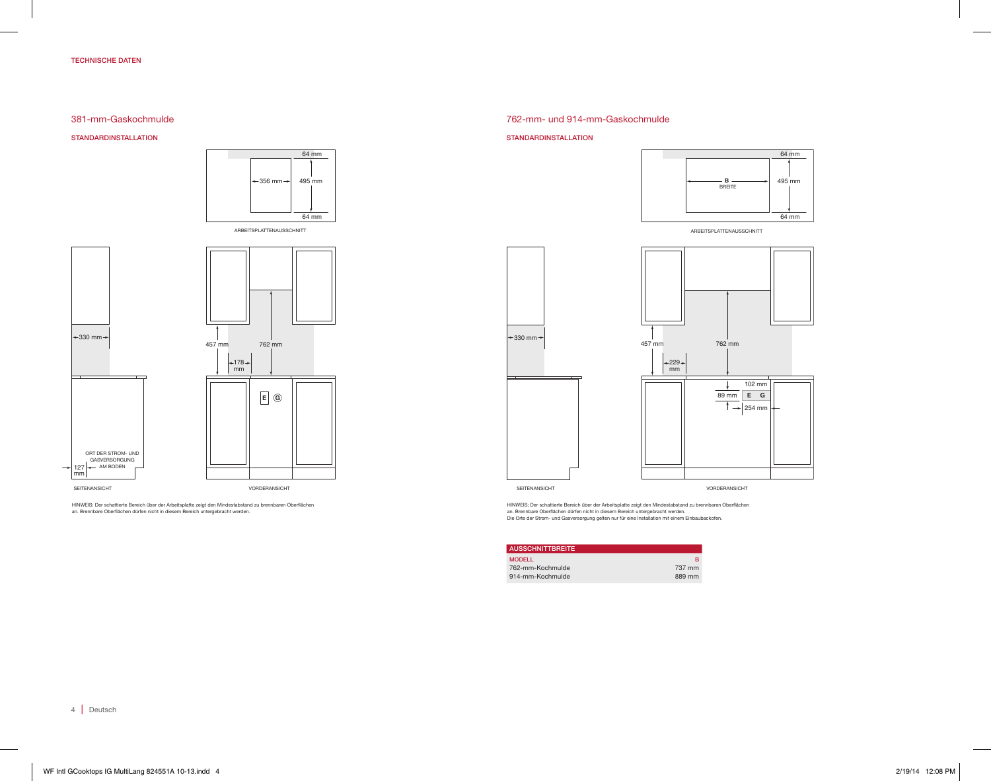## TECHNISCHE DATEN

## 381-mm-Gaskochmulde

STANDARDINSTALLATION





*NOTE: Shaded area above countertop indicates minimum clearance to combustible surfaces,* HINWEIS: Der schattierte Bereich über der Arbeitsplatte zeigt den Mindestabstand zu brennbaren Oberflächen *combustible materials cannot be located within this area.* an. Brennbare Oberflächen dürfen nicht in diesem Bereich untergebracht werden.

## 762-mm- und 914-mm-Gaskochmulde

#### STANDARDINSTALLATION



ARBEITSPLATTENAUSSCHNITT



*NOTE: Shaded area above countertop indicates minimum clearance to combustible surfaces,* HINWEIS: Der schattierte Bereich über der Arbeitsplatte zeigt den Mindestabstand zu brennbaren Oberflächen an. Brennbare Oberflächen dürfen nicht in diesem Bereich untergebracht werden.<br>Die Orte der Strom- und Gasversorgung gelten nur für eine Installation mit einem Einbaubackofen.

| <b>AUSSCHNITTBREITE</b> |        |
|-------------------------|--------|
| <b>MODELL</b>           | R      |
| 762-mm-Kochmulde        | 737 mm |
| 914-mm-Kochmulde        | 889 mm |

4 | Deutsch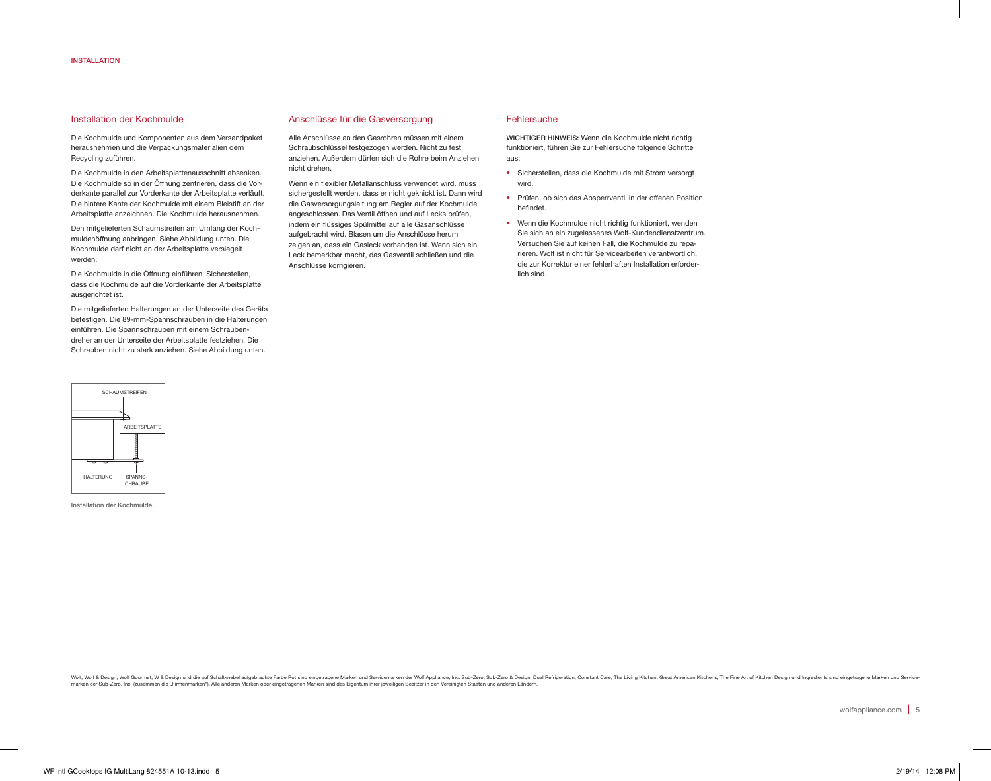## Installation der Kochmulde

Die Kochmulde und Komponenten aus dem Versandpaket herausnehmen und die Verpackungsmaterialien dem Recycling zuführen.

Die Kochmulde in den Arbeitsplattenausschnitt absenken. Die Kochmulde so in der Öffnung zentrieren, dass die Vorderkante parallel zur Vorderkante der Arbeitsplatte verläuft. Die hintere Kante der Kochmulde mit einem Bleistift an der Arbeitsplatte anzeichnen. Die Kochmulde herausnehmen.

Den mitgelieferten Schaumstreifen am Umfang der Kochmuldenöffnung anbringen. Siehe Abbildung unten. Die Kochmulde darf nicht an der Arbeitsplatte versiegelt werden.

Die Kochmulde in die Öffnung einführen. Sicherstellen, dass die Kochmulde auf die Vorderkante der Arbeitsplatte ausgerichtet ist.

Die mitgelieferten Halterungen an der Unterseite des Geräts befestigen. Die 89-mm-Spannschrauben in die Halterungen einführen. Die Spannschrauben mit einem Schraubendreher an der Unterseite der Arbeitsplatte festziehen. Die Schrauben nicht zu stark anziehen. Siehe Abbildung unten.



Installation der Kochmulde.

## Anschlüsse für die Gasversorgung

Alle Anschlüsse an den Gasrohren müssen mit einem Schraubschlüssel festgezogen werden. Nicht zu fest anziehen. Außerdem dürfen sich die Rohre beim Anziehen nicht drehen.

Wenn ein flexibler Metallanschluss verwendet wird, muss sichergestellt werden, dass er nicht geknickt ist. Dann wird die Gasversorgungsleitung am Regler auf der Kochmulde angeschlossen. Das Ventil öffnen und auf Lecks prüfen, indem ein flüssiges Spülmittel auf alle Gasanschlüsse aufgebracht wird. Blasen um die Anschlüsse herum zeigen an, dass ein Gasleck vorhanden ist. Wenn sich ein Leck bemerkbar macht, das Gasventil schließen und die Anschlüsse korrigieren.

#### **Fehlersuche**

WICHTIGER HINWEIS: Wenn die Kochmulde nicht richtig funktioniert, führen Sie zur Fehlersuche folgende Schritte aus:

- Sicherstellen, dass die Kochmulde mit Strom versorgt wird.
- Prüfen, ob sich das Absperrventil in der offenen Position befindet.
- Wenn die Kochmulde nicht richtig funktioniert, wenden Sie sich an ein zugelassenes Wolf-Kundendienstzentrum. Versuchen Sie auf keinen Fall, die Kochmulde zu reparieren. Wolf ist nicht für Servicearbeiten verantwortlich, die zur Korrektur einer fehlerhaften Installation erforderlich sind.

Wolf A Design, Wolf Gourmet, W & Design und die auf Schaltknebel aufgebrachte Farbe Rot sind eingetragene Marken und Servicemarken der Wolf Appliance, Inc. Sub-Zero, Sub-Zero, Sub-Zero & Design, Dual Refrigeration, Constan marken der Sub-Zero, Inc. (zusammen die "Firmenmarken"). Alle anderen Marken oder eingetragenen Marken sind das Eigentum ihrer jeweiligen Besitzer in den Vereinigten Staaten und anderen Ländern.